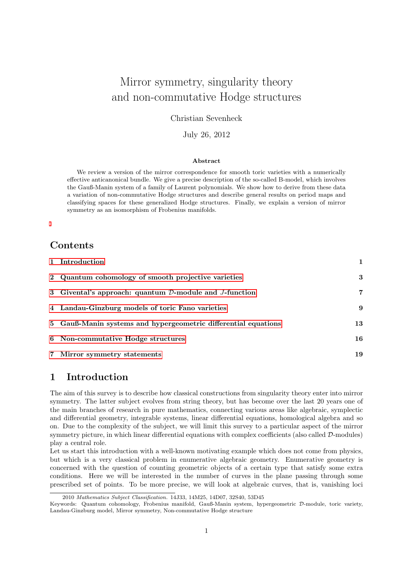# Mirror symmetry, singularity theory and non-commutative Hodge structures

Christian Sevenheck

July 26, 2012

### Abstract

We review a version of the mirror correspondence for smooth toric varieties with a numerically effective anticanonical bundle. We give a precise description of the so-called B-model, which involves the Gauß-Manin system of a family of Laurent polynomials. We show how to derive from these data a variation of non-commutative Hodge structures and describe general results on period maps and classifying spaces for these generalized Hodge structures. Finally, we explain a version of mirror symmetry as an isomorphism of Frobenius manifolds.

## **Contents**

| 1 Introduction                                                            |    |
|---------------------------------------------------------------------------|----|
| 2 Quantum cohomology of smooth projective varieties                       | 3  |
| 3 Givental's approach: quantum $\mathcal{D}\text{-module}$ and J-function | 7  |
| 4 Landau-Ginzburg models of toric Fano varieties                          | 9  |
| 5 Gauß-Manin systems and hypergeometric differential equations            | 13 |
| 6 Non-commutative Hodge structures                                        | 16 |
| 7 Mirror symmetry statements                                              | 19 |

## <span id="page-0-0"></span>1 Introduction

The aim of this survey is to describe how classical constructions from singularity theory enter into mirror symmetry. The latter subject evolves from string theory, but has become over the last 20 years one of the main branches of research in pure mathematics, connecting various areas like algebraic, symplectic and differential geometry, integrable systems, linear differential equations, homological algebra and so on. Due to the complexity of the subject, we will limit this survey to a particular aspect of the mirror symmetry picture, in which linear differential equations with complex coefficients (also called  $D$ -modules) play a central role.

Let us start this introduction with a well-known motivating example which does not come from physics, but which is a very classical problem in enumerative algebraic geometry. Enumerative geometry is concerned with the question of counting geometric objects of a certain type that satisfy some extra conditions. Here we will be interested in the number of curves in the plane passing through some prescribed set of points. To be more precise, we will look at algebraic curves, that is, vanishing loci

<sup>2010</sup> Mathematics Subject Classification. 14J33, 14M25, 14D07, 32S40, 53D45

Keywords: Quantum cohomology, Frobenius manifold, Gauß-Manin system, hypergeometric D-module, toric variety, Landau-Ginzburg model, Mirror symmetry, Non-commutative Hodge structure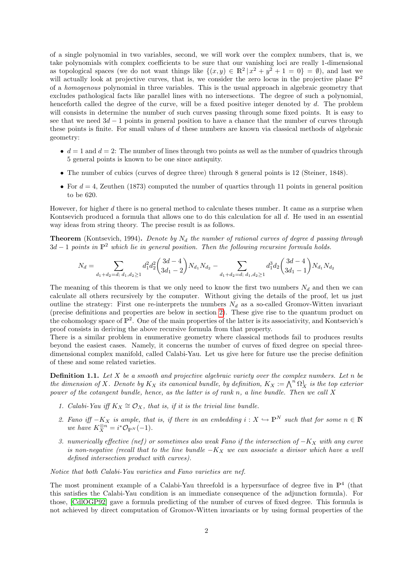of a single polynomial in two variables, second, we will work over the complex numbers, that is, we take polynomials with complex coefficients to be sure that our vanishing loci are really 1-dimensional as topological spaces (we do not want things like  $\{(x,y) \in \mathbb{R}^2 \mid x^2 + y^2 + 1 = 0\} = \emptyset$ ), and last we will actually look at projective curves, that is, we consider the zero locus in the projective plane  $\mathbb{P}^2$ of a homogenous polynomial in three variables. This is the usual approach in algebraic geometry that excludes pathological facts like parallel lines with no intersections. The degree of such a polynomial, henceforth called the degree of the curve, will be a fixed positive integer denoted by d. The problem will consists in determine the number of such curves passing through some fixed points. It is easy to see that we need  $3d - 1$  points in general position to have a chance that the number of curves through these points is finite. For small values of  $d$  these numbers are known via classical methods of algebraic geometry:

- $d = 1$  and  $d = 2$ : The number of lines through two points as well as the number of quadrics through 5 general points is known to be one since antiquity.
- The number of cubics (curves of degree three) through 8 general points is 12 (Steiner, 1848).
- For  $d = 4$ , Zeuthen (1873) computed the number of quartics through 11 points in general position to be 620.

However, for higher d there is no general method to calculate theses number. It came as a surprise when Kontsevich produced a formula that allows one to do this calculation for all d. He used in an essential way ideas from string theory. The precise result is as follows.

**Theorem** (Kontsevich, 1994). Denote by  $N_d$  the number of rational curves of degree d passing through  $3d-1$  points in  $\mathbb{P}^2$  which lie in general position. Then the following recursive formula holds.

$$
N_d = \sum_{d_1+d_2=d; \ d_1,d_2 \ge 1} d_1^2 d_2^2 \binom{3d-4}{3d_1-2} N_{d_1} N_{d_2} - \sum_{d_1+d_2=d; \ d_1,d_2 \ge 1} d_1^3 d_2 \binom{3d-4}{3d_1-1} N_{d_1} N_{d_2}
$$

The meaning of this theorem is that we only need to know the first two numbers  $N_d$  and then we can calculate all others recursively by the computer. Without giving the details of the proof, let us just outline the strategy: First one re-interprets the numbers  $N_d$  as a so-called Gromov-Witten invariant (precise definitions and properties are below in section [2\)](#page-2-0). These give rise to the quantum product on the cohomology space of  $\mathbb{P}^2$ . One of the main properties of the latter is its associativity, and Kontsevich's proof consists in deriving the above recursive formula from that property.

There is a similar problem in enumerative geometry where classical methods fail to produces results beyond the easiest cases. Namely, it concerns the number of curves of fixed degree on special threedimensional complex manifold, called Calabi-Yau. Let us give here for future use the precise definition of these and some related varieties.

<span id="page-1-0"></span>**Definition 1.1.** Let  $X$  be a smooth and projective algebraic variety over the complex numbers. Let  $n$  be the dimension of X. Denote by  $K_X$  its canonical bundle, by definition,  $K_X := \bigwedge^n \Omega^1_X$  is the top exterior power of the cotangent bundle, hence, as the latter is of rank n, a line bundle. Then we call X

- 1. Calabi-Yau iff  $K_X \cong \mathcal{O}_X$ , that is, if it is the trivial line bundle.
- 2. Fano iff  $-K_X$  is ample, that is, if there in an embedding  $i: X \hookrightarrow \mathbb{P}^N$  such that for some  $n \in \mathbb{N}$ we have  $K_X^{\otimes n} = i^* \mathcal{O}_{\mathbb{P}^N}(-1)$ .
- 3. numerically effective (nef) or sometimes also weak Fano if the intersection of  $-K_X$  with any curve is non-negative (recall that to the line bundle  $-K_X$  we can associate a divisor which have a well defined intersection product with curves).

Notice that both Calabi-Yau varieties and Fano varieties are nef.

The most prominent example of a Calabi-Yau threefold is a hypersurface of degree five in  $\mathbb{P}^4$  (that this satisfies the Calabi-Yau condition is an immediate consequence of the adjunction formula). For those, [\[CdlOGP92\]](#page-21-0) gave a formula predicting of the number of curves of fixed degree. This formula is not achieved by direct computation of Gromov-Witten invariants or by using formal properties of the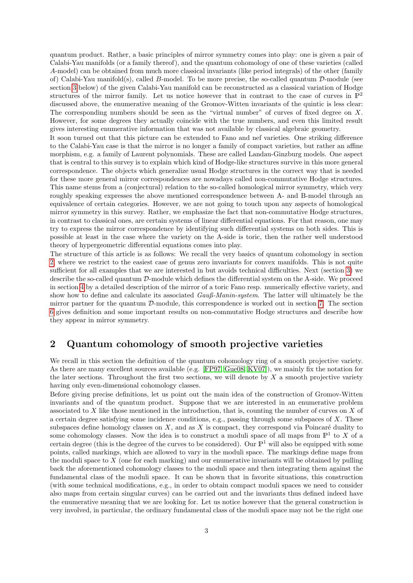quantum product. Rather, a basic principles of mirror symmetry comes into play: one is given a pair of Calabi-Yau manifolds (or a family thereof), and the quantum cohomology of one of these varieties (called A-model) can be obtained from much more classical invariants (like period integrals) of the other (family of) Calabi-Yau manifold(s), called B-model. To be more precise, the so-called quantum  $\mathcal{D}\text{-module}$  (see section [3](#page-6-0) below) of the given Calabi-Yau manifold can be reconstructed as a classical variation of Hodge structures of the mirror family. Let us notice however that in contrast to the case of curves in  $\mathbb{P}^2$ discussed above, the enumerative meaning of the Gromov-Witten invariants of the quintic is less clear: The corresponding numbers should be seen as the "virtual number" of curves of fixed degree on X. However, for some degrees they actually coincide with the true numbers, and even this limited result gives interesting enumerative information that was not available by classical algebraic geometry.

It soon turned out that this picture can be extended to Fano and nef varieties. One striking difference to the Calabi-Yau case is that the mirror is no longer a family of compact varieties, but rather an affine morphism, e.g. a family of Laurent polynomials. These are called Landau-Ginzburg models. One aspect that is central to this survey is to explain which kind of Hodge-like structures survive in this more general correspondence. The objects which generalize usual Hodge structures in the correct way that is needed for these more general mirror correspondences are nowadays called non-commutative Hodge structures. This name stems from a (conjectural) relation to the so-called homological mirror symmetry, which very roughly speaking expresses the above mentioned correspondence between A- and B-model through an equivalence of certain categories. However, we are not going to touch upon any aspects of homological mirror symmetry in this survey. Rather, we emphasize the fact that non-commutative Hodge structures, in contrast to classical ones, are certain systems of linear differential equations. For that reason, one may try to express the mirror correspondence by identifying such differential systems on both sides. This is possible at least in the case where the variety on the A-side is toric, then the rather well understood theory of hypergeometric differential equations comes into play.

The structure of this article is as follows: We recall the very basics of quantum cohomology in section [2,](#page-2-0) where we restrict to the easiest case of genus zero invariants for convex manifolds. This is not quite sufficient for all examples that we are interested in but avoids technical difficulties. Next (section [3\)](#page-6-0) we describe the so-called quantum D-module which defines the differential system on the A-side. We proceed in section [4](#page-8-0) by a detailed description of the mirror of a toric Fano resp. numerically effective variety, and show how to define and calculate its associated  $\frac{Gau\beta\text{-}Main\text{-}system}$ . The latter will ultimately be the mirror partner for the quantum  $\mathcal{D}\text{-module}$ , this correspondence is worked out in section [7.](#page-18-0) The section [6](#page-15-0) gives definition and some important results on non-commutative Hodge structures and describe how they appear in mirror symmetry.

## <span id="page-2-0"></span>2 Quantum cohomology of smooth projective varieties

We recall in this section the definition of the quantum cohomology ring of a smooth projective variety. As there are many excellent sources available (e.g. [\[FP97,](#page-21-1) [Gue08,](#page-21-2) [KV07\]](#page-22-0)), we mainly fix the notation for the later sections. Throughout the first two sections, we will denote by  $X$  a smooth projective variety having only even-dimensional cohomology classes.

Before giving precise definitions, let us point out the main idea of the construction of Gromov-Witten invariants and of the quantum product. Suppose that we are interested in an enumerative problem associated to  $X$  like those mentioned in the introduction, that is, counting the number of curves on  $X$  of a certain degree satisfying some incidence conditions, e.g., passing through some subspaces of  $X$ . These subspaces define homology classes on  $X$ , and as  $X$  is compact, they correspond via Poincaré duality to some cohomology classes. Now the idea is to construct a moduli space of all maps from  $\mathbb{P}^1$  to X of a certain degree (this is the degree of the curves to be considered). Our  $\mathbb{P}^1$  will also be equipped with some points, called markings, which are allowed to vary in the moduli space. The markings define maps from the moduli space to  $X$  (one for each marking) and our enumerative invariants will be obtained by pulling back the aforementioned cohomology classes to the moduli space and then integrating them against the fundamental class of the moduli space. It can be shown that in favorite situations, this construction (with some technical modifications, e.g., in order to obtain compact moduli spaces we need to consider also maps from certain singular curves) can be carried out and the invariants thus defined indeed have the enumerative meaning that we are looking for. Let us notice however that the general construction is very involved, in particular, the ordinary fundamental class of the moduli space may not be the right one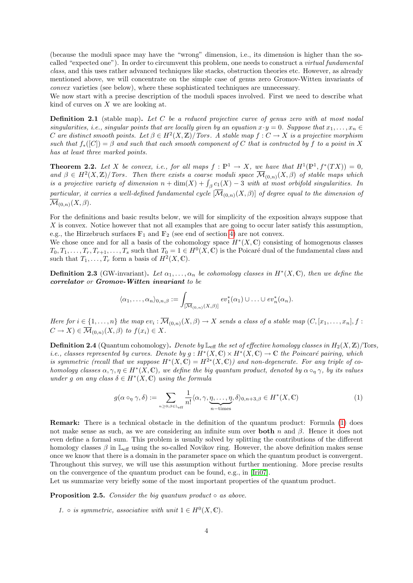(because the moduli space may have the "wrong" dimension, i.e., its dimension is higher than the socalled "expected one"). In order to circumvent this problem, one needs to construct a virtual fundamental class, and this uses rather advanced techniques like stacks, obstruction theories etc. However, as already mentioned above, we will concentrate on the simple case of genus zero Gromov-Witten invariants of convex varieties (see below), where these sophisticated techniques are unnecessary.

We now start with a precise description of the moduli spaces involved. First we need to describe what kind of curves on  $X$  we are looking at.

**Definition 2.1** (stable map). Let C be a reduced projective curve of genus zero with at most nodal singularities, i.e., singular points that are locally given by an equation  $x \cdot y = 0$ . Suppose that  $x_1, \ldots, x_n \in$ C are distinct smooth points. Let  $\beta \in H^2(X,\mathbb{Z})/Tors$ . A stable map  $f: C \to X$  is a projective morphism such that  $f_*([C]) = \beta$  and such that each smooth component of C that is contracted by f to a point in X has at least three marked points.

**Theorem 2.2.** Let X be convex, i.e., for all maps  $f : \mathbb{P}^1 \to X$ , we have that  $H^1(\mathbb{P}^1, f^*(TX)) = 0$ , and  $\beta \in H^2(X,\mathbb{Z})/T$ ors. Then there exists a coarse moduli space  $\overline{\mathcal{M}}_{(0,n)}(X,\beta)$  of stable maps which is a projective variety of dimension  $n + \dim(X) + \int_{\beta} c_1(X) - 3$  with at most orbifold singularities. In particular, it carries a well-defined fundamental cycle  $[\overline{\mathcal{M}}_{(0,n)}(X,\beta)]$  of degree equal to the dimension of  $\overline{\mathcal{M}}_{(0,n)}(X,\beta).$ 

For the definitions and basic results below, we will for simplicity of the exposition always suppose that X is convex. Notice however that not all examples that are going to occur later satisfy this assumption, e.g., the Hirzebruch surfaces  $\mathbb{F}_1$  and  $\mathbb{F}_2$  (see end of section [4\)](#page-8-0) are not convex.

We chose once and for all a basis of the cohomology space  $H^*(X, \mathbb{C})$  consisting of homogenous classes  $T_0, T_1, \ldots, T_r, T_{r+1}, \ldots, T_s$  such that  $T_0 = 1 \in H^0(X, \mathbb{C})$  is the Poicaré dual of the fundamental class and such that  $T_1, \ldots, T_r$  form a basis of  $H^2(X, \mathbb{C})$ .

**Definition 2.3** (GW-invariant). Let  $\alpha_1, \ldots, \alpha_n$  be cohomology classes in  $H^*(X, \mathbb{C})$ , then we define the correlator or Gromov-Witten invariant to be

$$
\langle \alpha_1,\ldots,\alpha_n \rangle_{0,n,\beta} := \int_{\overline{[M_{(0,n)}(X,\beta)]}} ev_1^*(\alpha_1) \cup \ldots \cup ev_n^*(\alpha_n).
$$

Here for  $i \in \{1,\ldots,n\}$  the map  $ev_i : \mathcal{M}_{(0,n)}(X,\beta) \to X$  sends a class of a stable map  $(C,[x_1,\ldots,x_n],f :$  $C \to X$ )  $\in \overline{\mathcal{M}}_{(0,n)}(X,\beta)$  to  $f(x_i) \in X$ .

**Definition 2.4** (Quantum cohomology). Denote by  $\mathbb{L}_{\text{eff}}$  the set of effective homology classes in  $H_2(X, \mathbb{Z})$ /Tors, i.e., classes represented by curves. Denote by  $g: H^*(X, \mathbb{C}) \times H^*(X, \mathbb{C}) \to \mathbb{C}$  the Poincaré pairing, which is symmetric (recall that we suppose  $H^*(X,\mathbb{C}) = H^{2*}(X,\mathbb{C})$ ) and non-degenerate. For any triple of cohomology classes  $\alpha, \gamma, \eta \in H^*(X, \mathbb{C})$ , we define the big quantum product, denoted by  $\alpha \circ_{\eta} \gamma$ , by its values under g on any class  $\delta \in H^*(X,\mathbb{C})$  using the formula

<span id="page-3-0"></span>
$$
g(\alpha \circ_{\eta} \gamma, \delta) := \sum_{n \ge 0, \beta \in \mathbb{L}_{\text{eff}}} \frac{1}{n!} \langle \alpha, \gamma, \underbrace{\eta, \dots, \eta}_{n-\text{times}}, \delta \rangle_{0, n+3, \beta} \in H^*(X, \mathbb{C})
$$
(1)

Remark: There is a technical obstacle in the definition of the quantum product: Formula [\(1\)](#page-3-0) does not make sense as such, as we are considering an infinite sum over **both** n and  $\beta$ . Hence it does not even define a formal sum. This problem is usually solved by splitting the contributions of the different homology classes  $\beta$  in  $\mathbb{L}_{\text{eff}}$  using the so-called Novikov ring. However, the above definition makes sense once we know that there is a domain in the parameter space on which the quantum product is convergent. Throughout this survey, we will use this assumption without further mentioning. More precise results on the convergence of the quantum product can be found, e.g., in [\[Iri07\]](#page-22-1).

Let us summarize very briefly some of the most important properties of the quantum product.

**Proposition 2.5.** Consider the big quantum product  $\circ$  as above.

1.  $\circ$  is symmetric, associative with unit  $1 \in H^0(X, \mathbb{C})$ .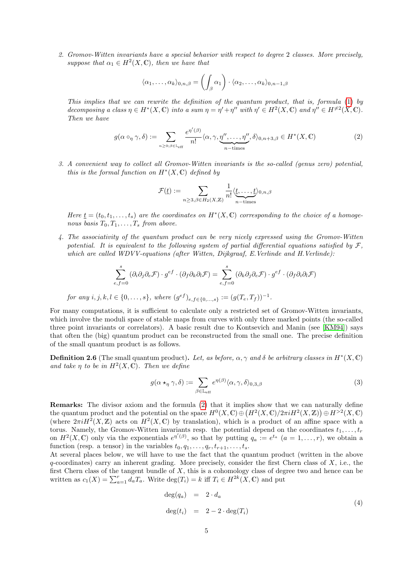2. Gromov-Witten invariants have a special behavior with respect to degree 2 classes. More precisely, suppose that  $\alpha_1 \in H^2(X, \mathbb{C})$ , then we have that

$$
\langle \alpha_1, \ldots, \alpha_k \rangle_{0,n,\beta} = \left( \int_{\beta} \alpha_1 \right) \cdot \langle \alpha_2, \ldots, \alpha_k \rangle_{0,n-1,\beta}
$$

This implies that we can rewrite the definition of the quantum product, that is, formula [\(1\)](#page-3-0) by decomposing a class  $\eta \in H^*(X, \mathbb{C})$  into a sum  $\eta = \eta' + \eta''$  with  $\eta' \in H^2(X, \mathbb{C})$  and  $\eta'' \in H^{\neq 2}(X, \mathbb{C})$ . Then we have

<span id="page-4-0"></span>
$$
g(\alpha \circ_{\eta} \gamma, \delta) := \sum_{n \ge 0; \beta \in \mathbb{L}_{\text{eff}}} \frac{e^{\eta'(\beta)}}{n!} \langle \alpha, \gamma, \underline{\eta''}, \dots, \eta'' \rangle, \delta \rangle_{0, n+3, \beta} \in H^*(X, \mathbb{C}) \tag{2}
$$

3. A convenient way to collect all Gromov-Witten invariants is the so-called (genus zero) potential, this is the formal function on  $H^*(X, \mathbb{C})$  defined by

$$
\mathcal{F}(\underline{t}) := \sum_{n \ge 3, \beta \in H_2(X, \mathbb{Z})} \frac{1}{n!} \langle \underline{t, \dots, t \rangle}_{n-\text{times}} \rangle_{0, n, \beta}
$$

Here  $\underline{t} = (t_0, t_1, \ldots, t_s)$  are the coordinates on  $H^*(X, \mathbb{C})$  corresponding to the choice of a homogenous basis  $T_0, T_1, \ldots, T_s$  from above.

4. The associativity of the quantum product can be very nicely expressed using the Gromov-Witten potential. It is equivalent to the following system of partial differential equations satisfied by  $\mathcal{F}$ , which are called WDVV-equations (after Witten, Dijkgraaf, E.Verlinde and H.Verlinde):

$$
\sum_{e,f=0}^{s} (\partial_i \partial_j \partial_e \mathcal{F}) \cdot g^{ef} \cdot (\partial_f \partial_k \partial_l \mathcal{F}) = \sum_{e,f=0}^{s} (\partial_k \partial_j \partial_e \mathcal{F}) \cdot g^{ef} \cdot (\partial_f \partial_i \partial_l \mathcal{F})
$$

for any  $i, j, k, l \in \{0, ..., s\}$ , where  $(g^{ef})_{e,f \in \{0,...,s\}} := (g(T_e, T_f))^{-1}$ .

For many computations, it is sufficient to calculate only a restricted set of Gromov-Witten invariants, which involve the moduli space of stable maps from curves with only three marked points (the so-called three point invariants or correlators). A basic result due to Kontsevich and Manin (see [\[KM94\]](#page-22-2)) says that often the (big) quantum product can be reconstructed from the small one. The precise definition of the small quantum product is as follows.

**Definition 2.6** (The small quantum product). Let, as before,  $\alpha, \gamma$  and  $\delta$  be arbitrary classes in  $H^*(X, \mathbb{C})$ and take  $\eta$  to be in  $H^2(X,\mathbb{C})$ . Then we define

<span id="page-4-1"></span>
$$
g(\alpha \star_{\eta} \gamma, \delta) := \sum_{\beta \in \mathbb{L}_{\text{eff}}} e^{\eta(\beta)} \langle \alpha, \gamma, \delta \rangle_{0,3,\beta} \tag{3}
$$

Remarks: The divisor axiom and the formula [\(2\)](#page-4-0) that it implies show that we can naturally define the quantum product and the potential on the space  $H^0(X, \mathbb{C}) \oplus (H^2(X, \mathbb{C})/2\pi i H^2(X, \mathbb{Z})) \oplus H^{>2}(X, \mathbb{C})$ (where  $2\pi iH^2(X,\mathbb{Z})$  acts on  $H^2(X,\mathbb{C})$  by translation), which is a product of an affine space with a torus. Namely, the Gromov-Witten invariants resp. the potential depend on the coordinates  $t_1, \ldots, t_r$ on  $H^2(X,\mathbb{C})$  only via the exponentials  $e^{\eta'(\beta)}$ , so that by putting  $q_a := e^{t_a}$   $(a = 1,\ldots,r)$ , we obtain a function (resp. a tensor) in the variables  $t_0, q_1, \ldots, q_r, t_{r+1}, \ldots, t_s$ .

At several places below, we will have to use the fact that the quantum product (written in the above  $q$ -coordinates) carry an inherent grading. More precisely, consider the first Chern class of  $X$ , i.e., the first Chern class of the tangent bundle of  $X$ , this is a cohomology class of degree two and hence can be written as  $c_1(X) = \sum_{a=1}^r \tilde{d}_a T_a$ . Write  $\deg(T_i) = k$  iff  $T_i \in H^{2k}(X, \mathbb{C})$  and put

<span id="page-4-2"></span>
$$
\deg(q_a) = 2 \cdot d_a
$$
  
\n
$$
\deg(t_i) = 2 - 2 \cdot \deg(T_i)
$$
\n(4)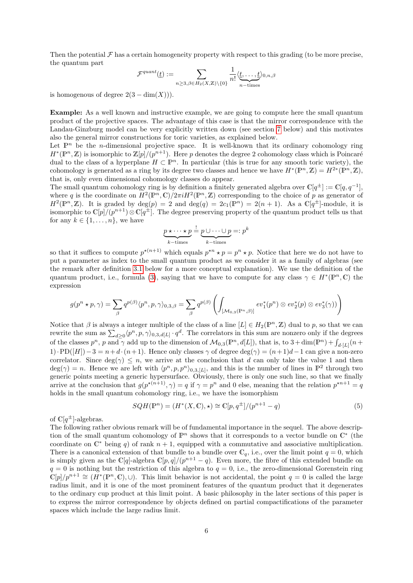Then the potential  $\mathcal F$  has a certain homogeneity property with respect to this grading (to be more precise, the quantum part

$$
\mathcal{F}^{quant}(\underline{t}) := \sum_{n \geq 3, \beta \in H_2(X, \mathbb{Z}) \backslash \{0\}} \frac{1}{n!} \langle \underline{t, \dots, t} \rangle_{0, n, \beta}
$$

is homogenous of degree  $2(3 - \dim(X))$ .

Example: As a well known and instructive example, we are going to compute here the small quantum product of the projective spaces. The advantage of this case is that the mirror correspondence with the Landau-Ginzburg model can be very explicitly written down (see section [7](#page-18-0) below) and this motivates also the general mirror constructions for toric varieties, as explained below.

Let  $\mathbb{P}^n$  be the *n*-dimensional projective space. It is well-known that its ordinary cohomology ring  $H^*(\mathbb{P}^n,\mathbb{Z})$  is isomorphic to  $\mathbb{Z}[p]/(p^{n+1})$ . Here p denotes the degree 2 cohomology class which is Poincaré dual to the class of a hyperplane  $H \subset \mathbb{P}^n$ . In particular (this is true for any smooth toric variety), the cohomology is generated as a ring by its degree two classes and hence we have  $H^*(\mathbb{P}^n, \mathbb{Z}) = H^{2*}(\mathbb{P}^n, \mathbb{Z}),$ that is, only even dimensional cohomology classes do appear.

The small quantum cohomology ring is by definition a finitely generated algebra over  $\mathbb{C}[q^{\pm}] := \mathbb{C}[q, q^{-1}]$ , where q is the coordinate on  $H^2(\mathbb{P}^n,\mathbb{C})/2\pi iH^2(\mathbb{P}^n,\mathbb{Z})$  corresponding to the choice of p as generator of  $H^2(\mathbb{P}^n, \mathbb{Z})$ . It is graded by  $\deg(p) = 2$  and  $\deg(q) = 2c_1(\mathbb{P}^n) = 2(n+1)$ . As a  $\mathbb{C}[q^{\pm}]$ -module, it is isomorphic to  $\mathbb{C}[p]/(p^{n+1})\otimes \mathbb{C}[q^{\pm}]$ . The degree preserving property of the quantum product tells us that for any  $k \in \{1, \ldots, n\}$ , we have

$$
\underbrace{p \star \cdots \star p}_{k-\text{times}} \stackrel{!}{=} \underbrace{p \cup \cdots \cup p}_{k-\text{times}} =: p^k
$$

so that it suffices to compute  $p^{*(n+1)}$  which equals  $p^{*n} \star p = p^n \star p$ . Notice that here we do not have to put a parameter as index to the small quantum product as we consider it as a family of algebras (see the remark after definition [3.1](#page-6-1) below for a more conceptual explanation). We use the definition of the quantum product, i.e., formula [\(3\)](#page-4-1), saying that we have to compute for any class  $\gamma \in H^*(\mathbb{P}^n, \mathbb{C})$  the expression

$$
g(p^n \star p, \gamma) = \sum_{\beta} q^{p(\beta)} \langle p^n, p, \gamma \rangle_{0,3,\beta} = \sum_{\beta} q^{p(\beta)} \left( \int_{\left[ \mathcal{M}_{0,3}(\mathbb{P}^n, \beta) \right]} ev_1^*(p^n) \otimes ev_2^*(p) \otimes ev_3^*(\gamma) \right)
$$

Notice that  $\beta$  is always a integer multiple of the class of a line  $[L] \in H_2(\mathbb{P}^n, \mathbb{Z})$  dual to p, so that we can rewrite the sum as  $\sum_{d\geq 0} \langle p^n, p, \gamma \rangle_{0,3,d[L]} \cdot q^d$ . The correlators in this sum are nonzero only if the degrees of the classes  $p^n$ , p and  $\gamma$  add up to the dimension of  $\mathcal{M}_{0,3}(\mathbb{P}^n,d[L])$ , that is, to  $3+\dim(\mathbb{P}^n)+\int_{d^{|E|}} (n+1)d_E$ 1)·PD([H]) – 3 =  $n+d \cdot (n+1)$ . Hence only classes  $\gamma$  of degree deg( $\gamma$ ) =  $(n+1)d-1$  can give a non-zero correlator. Since  $deg(\gamma) \leq n$ , we arrive at the conclusion that d can only take the value 1 and then  $deg(\gamma) = n$ . Hence we are left with  $\langle p^n, p, p^n \rangle_{0,3,[L]}$ , and this is the number of lines in  $\mathbb{P}^2$  through two generic points meeting a generic hypersurface. Obviously, there is only one such line, so that we finally arrive at the conclusion that  $g(p^{*(n+1)}, \gamma) = q$  if  $\gamma = p^n$  and 0 else, meaning that the relation  $p^{*n+1} = q$ holds in the small quantum cohomology ring, i.e., we have the isomorphism

<span id="page-5-0"></span>
$$
SQH(\mathbb{P}^n) = (H^*(X, \mathbb{C}), \star) \cong \mathbb{C}[p, q^{\pm}]/(p^{n+1} - q)
$$
\n<sup>(5)</sup>

of  $\mathbb{C}[q^{\pm}]$ -algebras.

The following rather obvious remark will be of fundamental importance in the sequel. The above description of the small quantum cohomology of  $\mathbb{P}^n$  shows that it corresponds to a vector bundle on  $\mathbb{C}^*$  (the coordinate on  $\mathbb{C}^*$  being q) of rank  $n + 1$ , equipped with a commutative and associative multiplication. There is a canonical extension of that bundle to a bundle over  $\mathbb{C}_q$ , i.e., over the limit point  $q = 0$ , which is simply given as the C[q]-algebra  $\mathbb{C}[p,q]/(p^{n+1}-q)$ . Even more, the fibre of this extended bundle on  $q = 0$  is nothing but the restriction of this algebra to  $q = 0$ , i.e., the zero-dimensional Gorenstein ring  $\mathbb{C}[p]/p^{n+1} \cong (\tilde{H}^*(\mathbb{P}^n,\mathbb{C}),\cup)$ . This limit behavior is not accidental, the point  $q=0$  is called the large radius limit, and it is one of the most prominent features of the quantum product that it degenerates to the ordinary cup product at this limit point. A basic philosophy in the later sections of this paper is to express the mirror correspondence by objects defined on partial compactifications of the parameter spaces which include the large radius limit.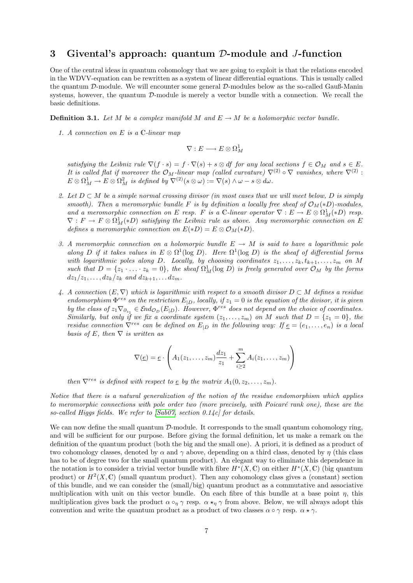## <span id="page-6-0"></span>3 Givental's approach: quantum D-module and J-function

One of the central ideas in quantum cohomology that we are going to exploit is that the relations encoded in the WDVV-equation can be rewritten as a system of linear differential equations. This is usually called the quantum D-module. We will encounter some general D-modules below as the so-called Gauß-Manin systems, however, the quantum  $\mathcal{D}$ -module is merely a vector bundle with a connection. We recall the basic definitions.

<span id="page-6-1"></span>**Definition 3.1.** Let M be a complex manifold M and  $E \to M$  be a holomorphic vector bundle.

1. A connection on  $E$  is a  $\mathbb{C}\text{-}linear map$ 

$$
\nabla: E \longrightarrow E \otimes \Omega^1_M
$$

satisfying the Leibniz rule  $\nabla(f \cdot s) = f \cdot \nabla(s) + s \otimes df$  for any local sections  $f \in \mathcal{O}_M$  and  $s \in E$ . It is called flat if moreover the  $\mathcal{O}_M$ -linear map (called curvature)  $\nabla^{(2)} \circ \nabla$  vanishes, where  $\nabla^{(2)}$ :  $E\otimes \Omega^1_M \to E\otimes \Omega^2_M$  is defined by  $\nabla^{(2)}(s\otimes \omega) := \nabla(s)\wedge \omega - s \otimes d\omega$ .

- 2. Let  $D \subset M$  be a simple normal crossing divisor (in most cases that we will meet below, D is simply smooth). Then a meromorphic bundle F is by definition a locally free sheaf of  $\mathcal{O}_M(*D)$ -modules, and a meromorphic connection on E resp. F is a C-linear operator  $\nabla : E \to E \otimes \Omega^1_M(*D)$  resp.  $\nabla: F \to F \otimes \Omega^1_M(*D)$  satisfying the Leibniz rule as above. Any meromorphic connection on E defines a meromorphic connection on  $E(*D) = E \otimes \mathcal{O}_M(*D)$ .
- 3. A meromorphic connection on a holomorpic bundle  $E \to M$  is said to have a logarithmic pole along D if it takes values in  $E \otimes \Omega^1(\log D)$ . Here  $\Omega^1(\log D)$  is the sheaf of differential forms with logarithmic poles along D. Locally, by choosing coordinates  $z_1, \ldots, z_k, t_{k+1}, \ldots, z_m$  on M such that  $D = \{z_1 \cdot \ldots \cdot z_k = 0\}$ , the sheaf  $\Omega^1_M(\log D)$  is freely generated over  $\mathcal{O}_M$  by the forms  $dz_1/z_1, \ldots, dz_k/z_k$  and  $dz_{k+1}, \ldots dz_m$ .
- 4. A connection  $(E, \nabla)$  which is logarithmic with respect to a smooth divisor  $D \subset M$  defines a residue endomorphism  $\Phi^{res}$  on the restriction  $E_{|D}$ , locally, if  $z_1 = 0$  is the equation of the divisor, it is given by the class of  $z_1 \nabla_{\partial_{z_1}} \in \mathcal{E}nd_{\mathcal{O}_D}(E_{|D})$ . However,  $\Phi^{res}$  does not depend on the choice of coordinates. Similarly, but only if we fix a coordinate system  $(z_1, \ldots, z_m)$  on M such that  $D = \{z_1 = 0\}$ , the residue connection  $\nabla^{res}$  can be defined on  $E_{|D}$  in the following way: If  $\underline{e} = (e_1, \ldots, e_n)$  is a local basis of E, then  $\nabla$  is written as

$$
\nabla(\underline{e}) = \underline{e} \cdot \left( A_1(z_1, \ldots, z_m) \frac{dz_1}{z_1} + \sum_{i \geq 2}^m A_i(z_1, \ldots, z_m) \right)
$$

then  $\nabla^{res}$  is defined with respect to  $\underline{e}$  by the matrix  $A_1(0, z_2, \ldots, z_m)$ .

Notice that there is a natural generalization of the notion of the residue endomorphism which applies to meromorphic connections with pole order two (more precisely, with Poicaré rank one), these are the so-called Higgs fields. We refer to [\[Sab07,](#page-22-3) section 0.14c] for details.

<span id="page-6-2"></span>We can now define the small quantum  $\mathcal{D}\text{-module}$ . It corresponds to the small quantum cohomology ring, and will be sufficient for our purpose. Before giving the formal definition, let us make a remark on the definition of the quantum product (both the big and the small one). A priori, it is defined as a product of two cohomology classes, denoted by  $\alpha$  and  $\gamma$  above, depending on a third class, denoted by  $\eta$  (this class has to be of degree two for the small quantum product). An elegant way to eliminate this dependence in the notation is to consider a trivial vector bundle with fibre  $H^*(X, \mathbb{C})$  on either  $H^*(X, \mathbb{C})$  (big quantum product) or  $H^2(X,\mathbb{C})$  (small quantum product). Then any cohomology class gives a (constant) section of this bundle, and we can consider the (small/big) quantum product as a commutative and associative multiplication with unit on this vector bundle. On each fibre of this bundle at a base point  $\eta$ , this multiplication gives back the product  $\alpha \circ_{\eta} \gamma$  resp.  $\alpha \star_{\eta} \gamma$  from above. Below, we will always adopt this convention and write the quantum product as a product of two classes  $\alpha \circ \gamma$  resp.  $\alpha \star \gamma$ .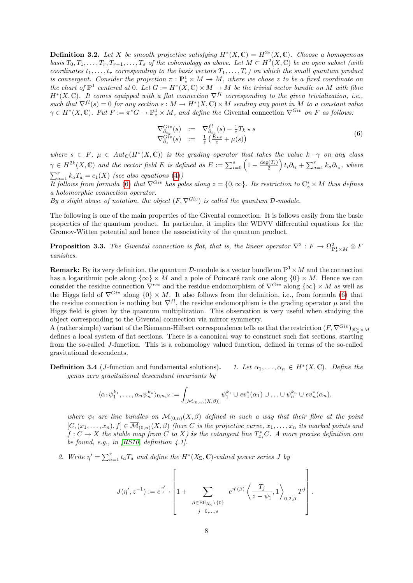**Definition 3.2.** Let X be smooth projective satisfying  $H^*(X, \mathbb{C}) = H^{2*}(X, \mathbb{C})$ . Choose a homogenous basis  $T_0, T_1, \ldots, T_r, T_{r+1}, \ldots, T_s$  of the cohomology as above. Let  $M \subset H^2(X, \mathbb{C})$  be an open subset (with coordinates  $t_1, \ldots, t_r$  corresponding to the basis vectors  $T_1, \ldots, T_r$ ) on which the small quantum product is convergent. Consider the projection  $\pi : \mathbb{P}_z^1 \times M \to M$ , where we chose z to be a fixed coordinate on the chart of  $\mathbb{P}^1$  centered at 0. Let  $G := H^*(X, \mathbb{C}) \times M \to M$  be the trivial vector bundle on M with fibre  $H^*(X,\mathbb{C})$ . It comes equipped with a flat connection  $\nabla^{fl}$  corresponding to the given trivialization, i.e., such that  $\nabla^{fl}(s) = 0$  for any section  $s : M \to H^*(X, \mathbb{C}) \times M$  sending any point in M to a constant value  $\gamma \in H^*(X, \mathbb{C})$ . Put  $F := \pi^*G \to \mathbb{P}^1_z \times M$ , and define the Givental connection  $\nabla^{Giv}$  on F as follows:

<span id="page-7-0"></span>
$$
\nabla_{\partial_{t_k}}^{Giv}(s) := \nabla_{\partial_{t_k}}^{f l}(s) - \frac{1}{z} T_k \star s
$$
  
\n
$$
\nabla_{\partial_z}^{Giv}(s) := \frac{1}{z} \left( \frac{E \star s}{z} + \mu(s) \right)
$$
\n(6)

where  $s \in F$ ,  $\mu \in Aut_{\mathbb{C}}(H^*(X, \mathbb{C}))$  is the grading operator that takes the value  $k \cdot \gamma$  on any class  $\gamma \in H^{2k}(X,\mathbb{C})$  and the vector field E is defined as  $E := \sum_{i=0}^{s} \left(1 - \frac{\deg(T_i)}{2}\right) t_i \partial_{t_i} + \sum_{a=1}^{r} k_a \partial_{t_a}$ , where  $\sum_{a=1}^{r} k_a T_a = c_1(X)$  (see also equations [\(4\)](#page-4-2))

It follows from formula [\(6\)](#page-7-0) that  $\nabla^{Giv}$  has poles along  $z = \{0, \infty\}$ . Its restriction to  $\mathbb{C}^*_z \times M$  thus defines a holomorphic connection operator.

By a slight abuse of notation, the object  $(F, \nabla^{Giv})$  is called the quantum D-module.

The following is one of the main properties of the Givental connection. It is follows easily from the basic properties of the quantum product. In particular, it implies the WDVV differential equations for the Gromov-Witten potential and hence the associativity of the quantum product.

**Proposition 3.3.** The Givental connection is flat, that is, the linear operator  $\nabla^2 : F \to \Omega^2_{\mathbb{P}^1_z \times M} \otimes F$ vanishes.

**Remark:** By its very definition, the quantum D-module is a vector bundle on  $\mathbb{P}^1 \times M$  and the connection has a logarithmic pole along  $\{\infty\} \times M$  and a pole of Poincaré rank one along  $\{0\} \times M$ . Hence we can consider the residue connection  $\nabla^{res}$  and the residue endomorphism of  $\nabla^{Giv}$  along  $\{\infty\}\times M$  as well as the Higgs field of  $\nabla^{Giv}$  along  $\{0\} \times M$ . It also follows from the definition, i.e., from formula [\(6\)](#page-7-0) that the residue connection is nothing but  $\nabla^{fl}$ , the residue endomorphism is the grading operator  $\mu$  and the Higgs field is given by the quantum multiplication. This observation is very useful when studying the object corresponding to the Givental connection via mirror symmetry.

A (rather simple) variant of the Riemann-Hilbert correspondence tells us that the restriction  $(F, \nabla^{Giv})_{\vert \mathbb{C}^*_z \times M}$ defines a local system of flat sections. There is a canonical way to construct such flat sections, starting from the so-called J-function. This is a cohomology valued function, defined in terms of the so-called gravitational descendents.

Definition 3.4 (J-function and fundamental solutions). 1. Let  $\alpha_1, \ldots, \alpha_n \in H^*(X, \mathbb{C})$ . Define the genus zero gravitational descendant invariants by

$$
\langle \alpha_1 \psi_1^{k_1}, \ldots, \alpha_n \psi_n^{k_n} \rangle_{0,n,\beta} := \int_{\left[\overline{\mathcal{M}}_{(0,n)}(X,\beta)\right]} \psi_1^{k_1} \cup ev_1^*(\alpha_1) \cup \ldots \cup \psi_n^{k_n} \cup ev_n^*(\alpha_n).
$$

where  $\psi_i$  are line bundles on  $\overline{\mathcal{M}}_{(0,n)}(X,\beta)$  defined in such a way that their fibre at the point  $[C,(x_1,\ldots,x_n),f]\in \overline{\mathcal{M}}_{(0,n)}(X,\beta)$  (here C is the projective curve,  $x_1,\ldots,x_n$  its marked points and  $f: C \to X$  the stable map from C to X) is the cotangent line  $T_{x_i}^*C$ . A more precise definition can be found, e.g., in  $[RS10, definition 4.1].$  $[RS10, definition 4.1].$ 

2. Write  $\eta' = \sum_{a=1}^r t_a T_a$  and define the  $H^*(X_\Sigma, \mathbb{C})$ -valued power series J by

$$
J(\eta', z^{-1}) := e^{\frac{\eta'}{z}} \cdot \left[1 + \sum_{\beta \in \text{Eff}_{X_{\Sigma}} \backslash \{0\}} e^{\eta'(\beta)} \left\langle \frac{T_j}{z - \psi_1}, 1 \right\rangle_{0,2,\beta} T^j \right].
$$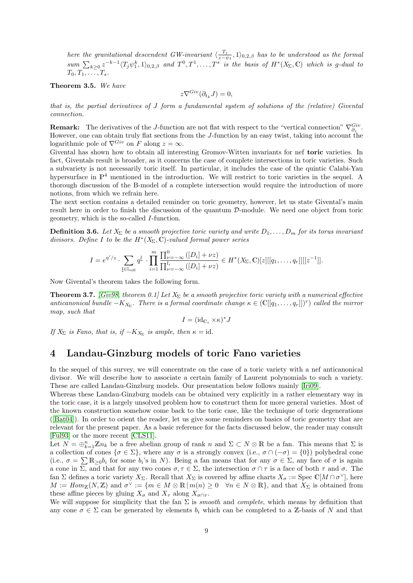here the gravitational descendent GW-invariant  $\langle \frac{T_j}{\gamma - i} \rangle$  $\frac{I_j}{z-\psi_1}$ , 1)<sub>0,2,β</sub> has to be understood as the formal  $sum \sum_{k\geq 0} z^{-k-1} \langle T_j \psi_1^k, 1 \rangle_{0,2,\beta}$  and  $T^0, T^1, \ldots, T^s$  is the basis of  $H^*(X_\Sigma, \mathbb{C})$  which is g-dual to  $T_0, T_1, \ldots, T_s$ .

Theorem 3.5. We have

$$
z\nabla^{Giv}(\partial_{t_k}J)=0,
$$

that is, the partial derivatives of J form a fundamental system of solutions of the (relative) Givental connection.

**Remark:** The derivatives of the J-function are not flat with respect to the "vertical connection"  $\nabla_{\partial_z}^{Giv}$ . However, one can obtain truly flat sections from the J-function by an easy twist, taking into account the logarithmic pole of  $\nabla^{Giv}$  on F along  $z = \infty$ .

Givental has shown how to obtain all interesting Gromov-Witten invariants for nef toric varieties. In fact, Giventals result is broader, as it concerns the case of complete intersections in toric varieties. Such a subvariety is not necessarily toric itself. In particular, it includes the case of the quintic Calabi-Yau hypersurface in  $\mathbb{P}^4$  mentioned in the introduction. We will restrict to toric varieties in the sequel. A thorough discussion of the B-model of a complete intersection would require the introduction of more notions, from which we refrain here.

The next section contains a detailed reminder on toric geometry, however, let us state Givental's main result here in order to finish the discussion of the quantum  $\mathcal{D}\text{-module}$ . We need one object from toric geometry, which is the so-called I-function.

<span id="page-8-1"></span>**Definition 3.6.** Let  $X_{\Sigma}$  be a smooth projective toric variety and write  $D_1, \ldots, D_m$  for its torus invariant divisors. Define I to be the  $H^*(X_\Sigma,\mathbb{C})$ -valued formal power series

$$
I = e^{\eta'/z} \cdot \sum_{\underline{l} \in \mathbb{L}_{\text{eff}}} q^{\underline{l}} \cdot \prod_{i=1}^{m} \frac{\prod_{\nu=-\infty}^{0} ([D_i] + \nu z)}{\prod_{\nu=-\infty}^{l_i} ([D_i] + \nu z)} \in H^*(X_{\Sigma}, \mathbb{C})[z][[q_1, \ldots, q_r]][[z^{-1}]].
$$

Now Givental's theorem takes the following form.

<span id="page-8-2"></span>**Theorem 3.7.** [\[Giv98,](#page-21-3) theorem 0.1] Let  $X_{\Sigma}$  be a smooth projective toric variety with a numerical effective anticanonical bundle  $-K_{X_{\Sigma}}$ . There is a formal coordinate change  $\kappa \in (\mathbb{C}[[q_1,\ldots,q_r]])^r$  called the mirror map, such that

$$
I = (\mathrm{id}_{\mathbb{C}_z} \times \kappa)^* J
$$

If  $X_{\Sigma}$  is Fano, that is, if  $-K_{X_{\Sigma}}$  is ample, then  $\kappa = \text{id}$ .

## <span id="page-8-0"></span>4 Landau-Ginzburg models of toric Fano varieties

In the sequel of this survey, we will concentrate on the case of a toric variety with a nef anticanonical divisor. We will describe how to associate a certain family of Laurent polynomials to such a variety. These are called Landau-Ginzburg models. Our presentation below follows mainly [\[Iri09\]](#page-22-5).

Whereas these Landau-Ginzburg models can be obtained very explicitly in a rather elementary way in the toric case, it is a largely unsolved problem how to construct them for more general varieties. Most of the known construction somehow come back to the toric case, like the technique of toric degenerations ([\[Bat04\]](#page-21-4)). In order to orient the reader, let us give some reminders on basics of toric geometry that are relevant for the present paper. As a basic reference for the facts discussed below, the reader may consult [\[Ful93\]](#page-21-5) or the more recent [\[CLS11\]](#page-21-6).

Let  $N = \bigoplus_{k=1}^{n} \mathbb{Z}n_k$  be a free abelian group of rank n and  $\Sigma \subset N \otimes \mathbb{R}$  be a fan. This means that  $\Sigma$  is a collection of cones  $\{\sigma \in \Sigma\}$ , where any  $\sigma$  is a strongly convex (i.e.,  $\sigma \cap (-\sigma) = \{0\}$ ) polyhedral cone (i.e.,  $\sigma = \sum \mathbb{R}_{\geq 0} b_i$  for some  $b_i$ 's in N). Being a fan means that for any  $\sigma \in \Sigma$ , any face of  $\sigma$  is again a cone in  $\overline{\Sigma}$ , and that for any two cones  $\sigma, \tau \in \Sigma$ , the intersection  $\sigma \cap \tau$  is a face of both  $\tau$  and  $\sigma$ . The fan  $\Sigma$  defines a toric variety  $X_{\Sigma}$ . Recall that  $X_{\Sigma}$  is covered by affine charts  $X_{\sigma} := \text{Spec } \mathbb{C}[M \cap \sigma^{\vee}],$  here  $M := Hom_{\mathbb{Z}}(N, \mathbb{Z})$  and  $\sigma^{\vee} := \{m \in M \otimes \mathbb{R} \mid m(n) \geq 0 \quad \forall n \in N \otimes \mathbb{R} \}$ , and that  $X_{\Sigma}$  is obtained from these affine pieces by gluing  $X_{\sigma}$  and  $X_{\tau}$  along  $X_{\sigma \cap \tau}$ .

We will suppose for simplicity that the fan  $\Sigma$  is *smooth* and *complete*, which means by definition that any cone  $\sigma \in \Sigma$  can be generated by elements  $b_i$  which can be completed to a Z-basis of N and that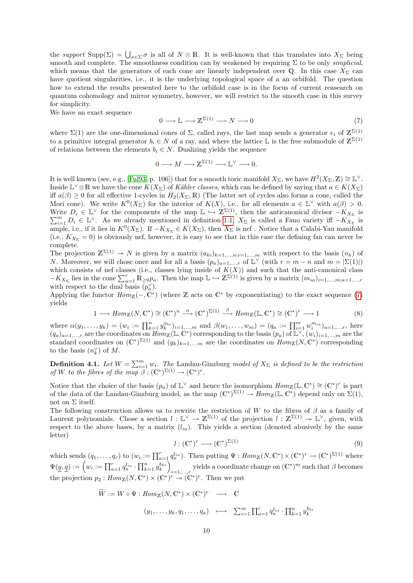the support Supp( $\Sigma$ ) =  $\bigcup_{\sigma \in \Sigma} \sigma$  is all of  $N \otimes \mathbb{R}$ . It is well-known that this translates into  $X_{\Sigma}$  being smooth and complete. The smoothness condition can by weakened by requiring  $\Sigma$  to be only *simplicial*, which means that the generators of each cone are linearly independent over Q. In this case  $X_{\Sigma}$  can have quotient singularities, i.e., it is the underlying topological space of a an orbifold. The question how to extend the results presented here to the orbifold case is in the focus of current reasearch on quantum cohomology and mirror symmetry, however, we will restrict to the smooth case in this survey for simplicity.

We have an exact sequence

<span id="page-9-0"></span>
$$
0 \longrightarrow \mathbb{L} \longrightarrow \mathbb{Z}^{\Sigma(1)} \longrightarrow N \longrightarrow 0 \tag{7}
$$

where  $\Sigma(1)$  are the one-dimensional cones of  $\Sigma$ , called rays, the last map sends a generator  $e_i$  of  $\mathbb{Z}^{\Sigma(1)}$ to a primitive integral generator  $b_i \in N$  of a ray, and where the lattice L is the free submodule of  $\mathbb{Z}^{\Sigma(1)}$ of relations between the elements  $b_i \in N$ . Dualizing yields the sequence

$$
0 \longrightarrow M \longrightarrow \mathbb{Z}^{\Sigma(1)} \longrightarrow \mathbb{L}^{\vee} \longrightarrow 0.
$$

It is well known (see, e.g., [\[Ful93,](#page-21-5) p. 106]) that for a smooth toric manifold  $X_{\Sigma}$ , we have  $H^2(X_{\Sigma}, \mathbb{Z}) \cong \mathbb{L}^{\vee}$ . Inside  $\mathbb{L}^{\vee}\otimes\mathbb{R}$  we have the cone  $K(X_{\Sigma})$  of Kähler classes, which can be defined by saying that  $a \in K(X_{\Sigma})$ iff  $a(\beta) \geq 0$  for all effective 1-cycles in  $H_2(X_\Sigma, \mathbb{R})$  (The latter set of cycles also forms a cone, called the Mori cone). We write  $K^0(X_\Sigma)$  for the interior of  $K(X)$ , i.e., for all elements  $a \in \mathbb{L}^\vee$  with  $a(\beta) > 0$ . Write  $D_i \in \mathbb{L}^{\vee}$  for the components of the map  $\mathbb{L} \hookrightarrow \mathbb{Z}^{\Sigma(1)}$ , then the anticanonical divisor  $-K_{X_{\Sigma}}$  is  $\sum_{i=1}^m D_i \in \mathbb{L}^{\vee}$ . As we already mentioned in definition [1.1,](#page-1-0)  $X_{\Sigma}$  is called a Fano variety iff  $-K_{X_{\Sigma}}$  is ample, i.e., if it lies in  $K^0(X_\Sigma)$ . If  $-K_{X_\Sigma} \in K(X_\Sigma)$ , then  $X_\Sigma$  is nef. Notice that a Calabi-Yau manifold (i.e.,  $K_{X_{\Sigma}} = 0$ ) is obviously nef, however, it is easy to see that in this case the defining fan can never be complete.

The projection  $\mathbb{Z}^{\Sigma(1)} \to N$  is given by a matrix  $(a_{ki})_{k=1,\dots,n; i=1,\dots,m}$  with respect to the basis  $(n_k)$  of *N*. Moreover, we will chose once and for all a basis  $(p_a)_{a=1,\dots,r}$  of  $\mathbb{L}^{\vee}$  (with  $r = m - n$  and  $m = |\Sigma(1)|$ ) which consists of nef classes (i.e., classes lying inside of  $K(X)$ ) and such that the anti-canonical class  $-K_{X_{\Sigma}}$  lies in the cone  $\sum_{a=1}^{r} \mathbb{R}_{\geq 0} p_a$ . Then the map  $\mathbb{L} \hookrightarrow \mathbb{Z}^{\Sigma(1)}$  is given by a matrix  $(m_{ia})_{i=1,\dots,m;a=1,\dots,r}$ with respect to the dual basis  $\overline{(p_a^{\vee})}$ .

Applying the functor  $Hom_{\mathbb{Z}}(-,\mathbb{C}^*)$  (where  $\mathbb Z$  acts on  $\mathbb{C}^*$  by exponentiating) to the exact sequence [\(7\)](#page-9-0) yields

$$
1 \longrightarrow Hom_{\mathbb{Z}}(N, \mathbb{C}^*) \cong (\mathbb{C}^*)^n \stackrel{\alpha}{\longrightarrow} (\mathbb{C}^*)^{\Sigma(1)} \stackrel{\beta}{\longrightarrow} Hom_{\mathbb{Z}}(\mathbb{L}, \mathbb{C}^*) \cong (\mathbb{C}^*)^r \longrightarrow 1
$$
 (8)

where  $\alpha(y_1, \ldots, y_k) = (w_i := \prod_{k=1}^n y_k^{a_{ki}})_{i=1,\ldots,m}$  and  $\beta(w_1, \ldots, w_m) = (q_a := \prod_{i=1}^m w_i^{m_{ia}})_{a=1,\ldots,r}$ , here  $(q_a)_{a=1,\dots,r}$  are the coordinates on  $Hom_{\mathbb{Z}}(\mathbb{L},\mathbb{C}^*)$  corresponding to the basis  $(p_a)$  of  $\mathbb{L}^{\vee}, (w_i)_{i=1,\dots,m}$  are the standard coordinates on  $(\mathbb{C}^*)^{\Sigma(1)}$  and  $(y_k)_{k=1,\dots,m}$  are the coordinates on  $Hom_{\mathbb{Z}}(N, \mathbb{C}^*)$  corresponding to the basis  $(n_k^{\vee})$  of M.

**Definition 4.1.** Let  $W = \sum_{i=1}^{m} w_i$ . The Landau-Ginzburg model of  $X_{\Sigma}$  is defined to be the restriction of W to the fibres of the map  $\overline{\beta}$ :  $(\mathbb{C}^*)^{\Sigma(1)} \to (\mathbb{C}^*)^r$ .

Notice that the choice of the basis  $(p_a)$  of  $\mathbb{L}^{\vee}$  and hence the isomorphism  $Hom_{\mathbb{Z}}(\mathbb{L}, \mathbb{C}^*) \cong (\mathbb{C}^*)^r$  is part of the data of the Landau-Ginzburg model, as the map  $(\mathbb{C}^*)^{\Sigma(1)} \to Hom_{\mathbb{Z}}(\mathbb{L}, \mathbb{C}^*)$  depend only on  $\Sigma(1)$ , not on  $\Sigma$  itself.

The following construction allows us to rewrite the restriction of W to the fibres of  $\beta$  as a family of Laurent polynomials. Chose a section  $l : \mathbb{L}^{\vee} \to \mathbb{Z}^{\Sigma(1)}$  of the projection  $l : \mathbb{Z}^{\Sigma(1)} \to \mathbb{L}^{\vee}$ , given, with respect to the above bases, by a matrix  $(l_{ia})$ . This yields a section (denoted abusively by the same letter)

<span id="page-9-1"></span>
$$
l: (\mathbb{C}^*)^r \longrightarrow (\mathbb{C}^*)^{\Sigma(1)} \tag{9}
$$

which sends  $(q_1, \ldots, q_r)$  to  $(w_i := \prod_{a=1}^r q_a^{l_{ia}})$ . Then putting  $\Psi : Hom_{\mathbb{Z}}(N, \mathbb{C}^*) \times (\mathbb{C}^*)^r \to (\mathbb{C}^*)^{\Sigma(1)}$  where  $\Psi(\underline{y},\underline{q}) := \left(w_i := \prod_{a=1}^r q_a^{l_{ia}} \cdot \prod_{k=1}^n y_k^{b_{ki}}\right)$ *i*=1,...,*r* yields a coordinate change on  $(\mathbb{C}^*)^m$  such that  $\beta$  becomes the projection  $p_2: Hom_{\mathbb{Z}}(N, \mathbb{C}^*) \times (\mathbb{C}^*)^r \to (\mathbb{C}^*)^r$ . Then we put

$$
\widetilde{W} := W \circ \Psi : Hom_{\mathbb{Z}}(N, \mathbb{C}^*) \times (\mathbb{C}^*)^r \longrightarrow \mathbb{C}
$$
  

$$
(y_1, \dots, y_k, q_1, \dots, q_a) \longmapsto \sum_{i=1}^m \prod_{a=1}^r q_a^{l_{ia}} \cdot \prod_{k=1}^n y_k^{b_{ki}}
$$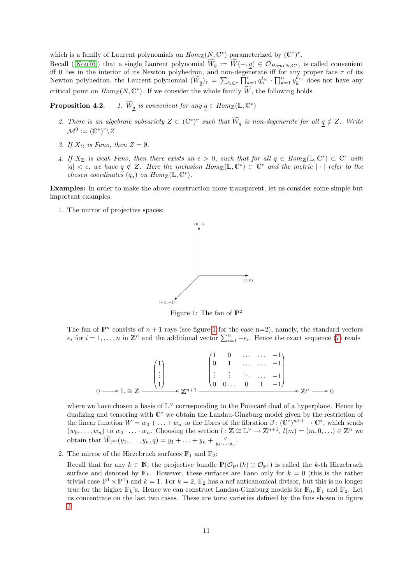which is a family of Laurent polynomials on  $Hom_{\mathbb{Z}}(N, \mathbb{C}^*)$  parameterized by  $(\mathbb{C}^*)^r$ .

Recall ([\[Kou76\]](#page-22-6)) that a single Laurent polynomial  $W_{\underline{q}} := W(-, \underline{q}) \in \mathcal{O}_{Hom(N, \mathbb{C}^*)}$  is called convenient iff 0 lies in the interior of its Newton polyhedron, and non-degenerate iff for any proper face  $\tau$  of its Newton polyhedron, the Laurent polynomial  $(\widetilde{W}_{\underline{q}})_{\tau} = \sum_{b_i \in \tau} \prod_{a=1}^r q_a^{l_{ia}} \cdot \prod_{k=1}^n y_k^{b_{ki}}$  does not have any critical point on  $Hom_{\mathbb{Z}}(N, \mathbb{C}^*)$ . If we consider the whole family  $\widetilde{W}$ , the following holds

<span id="page-10-1"></span>**Proposition 4.2.** 1.  $\widetilde{W}_{\underline{q}}$  is convenient for any  $\underline{q} \in Hom_{\mathbb{Z}}(\mathbb{L}, \mathbb{C}^*)$ 

- 2. There is an algebraic subvariety  $Z \subset (\mathbb{C}^*)^r$  such that  $\widetilde{W}_{\underline{q}}$  is non-degenerate for all  $\underline{q} \notin Z$ . Write  $\mathcal{M}^0 := (\mathbb{C}^*)^r \backslash Z.$
- 3. If  $X_{\Sigma}$  is Fano, then  $Z = \emptyset$ .
- 4. If  $X_{\Sigma}$  is weak Fano, then there exists an  $\epsilon > 0$ , such that for all  $q \in Hom_{\mathbb{Z}}(\mathbb{L}, \mathbb{C}^{*}) \subset \mathbb{C}^{r}$  with  $|q| < \epsilon$ , we have  $q \notin Z$ . Here the inclusion  $Hom_{\mathbb{Z}}(\mathbb{L}, \mathbb{C}^*) \subset \mathbb{C}^r$  and the metric  $|\cdot|$  refer to the chosen coordinates  $(q_a)$  on  $Hom_{\mathbb{Z}}(\mathbb{L}, \mathbb{C}^*)$ .

Examples: In order to make the above construction more transparent, let us consider some simple but important examples.

1. The mirror of projective spaces:



<span id="page-10-0"></span>Figure 1: The fan of  $\mathbb{P}^2$ 

The fan of  $\mathbb{P}^n$  consists of  $n+1$  rays (see figure [1](#page-10-0) for the case n=2), namely, the standard vectors  $e_i$  for  $i = 1, \ldots, n$  in  $\mathbb{Z}^n$  and the additional vector  $\sum_{i=1}^n -e_i$ . Hence the exact sequence [\(7\)](#page-9-0) reads

$$
0 \longrightarrow \mathbb{L} \cong \mathbb{Z} \xrightarrow{\begin{pmatrix} 1 \\ 1 \\ \vdots \\ 1 \end{pmatrix}} \mathbb{Z}^{n+1} \xrightarrow{\begin{pmatrix} 1 & 0 & \dots & \dots & -1 \\ 0 & 1 & \dots & \dots & -1 \\ \vdots & \vdots & \ddots & \dots & -1 \\ 0 & 0 & \dots & 0 & 1 & -1 \end{pmatrix}} \mathbb{Z}^n \longrightarrow \mathbb{Z}^n \longrightarrow 0
$$

where we have chosen a basis of  $\mathbb{L}^{\vee}$  corresponding to the Poincaré dual of a hyperplane. Hence by dualizing and tensoring with  $\mathbb{C}^*$  we obtain the Landau-Ginzburg model given by the restriction of the linear function  $W = w_0 + \ldots + w_n$  to the fibres of the fibration  $\beta : (\mathbb{C}^*)^{n+1} \to \mathbb{C}^*$ , which sends  $(w_0,\ldots,w_n)$  to  $w_0\cdot\ldots\cdot w_n$ . Choosing the section  $l:\mathbb{Z}\cong \mathbb{L}^\vee\to \mathbb{Z}^{n+1}$ ,  $l(m)=(m,0,\ldots)\in \mathbb{Z}^n$  we obtain that  $\widetilde{W}_{\mathbb{P}^n}(y_1,\ldots,y_n,q)=y_1+\ldots+y_n+\frac{q}{y_1\ldots y_n}.$ 

2. The mirror of the Hirzebruch surfaces  $\mathbb{F}_1$  and  $\mathbb{F}_2$ :

Recall that for any  $k \in \mathbb{N}$ , the projective bundle  $\mathbb{P}(\mathcal{O}_{\mathbb{P}^1}(k) \oplus \mathcal{O}_{\mathbb{P}^1})$  is called the k-th Hirzebruch surface and denoted by  $\mathbb{F}_k$ . However, these surfaces are Fano only for  $k = 0$  (this is the rather trivial case  $\mathbb{P}^1 \times \mathbb{P}^1$  and  $k = 1$ . For  $k = 2$ ,  $\mathbb{F}_2$  has a nef anticanonical divisor, but this is no longer true for the higher  $\mathbb{F}_k$ 's. Hence we can construct Landau-Ginzburg models for  $\mathbb{F}_0$ ,  $\mathbb{F}_1$  and  $\mathbb{F}_2$ . Let us concentrate on the last two cases. These are toric varieties defined by the fans shown in figure [2.](#page-11-0)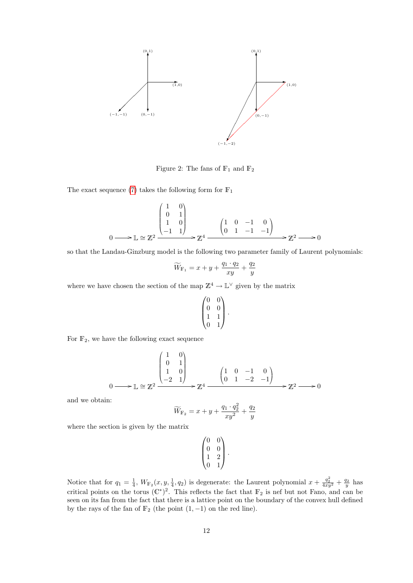

<span id="page-11-0"></span>Figure 2: The fans of  $\mathbb{F}_1$  and  $\mathbb{F}_2$ 

The exact sequence [\(7\)](#page-9-0) takes the following form for  $\mathbb{F}_1$ 

$$
0 \longrightarrow \mathbb{L} \cong \mathbb{Z}^2 \xrightarrow{\begin{pmatrix} 1 & 0 \\ 0 & 1 \\ 1 & 0 \\ -1 & 1 \end{pmatrix}} \mathbb{Z}^4 \xrightarrow{\begin{pmatrix} 1 & 0 & -1 & 0 \\ 0 & 1 & -1 & -1 \end{pmatrix}} \mathbb{Z}^2 \longrightarrow 0
$$

so that the Landau-Ginzburg model is the following two parameter family of Laurent polynomials:

$$
\widetilde{W}_{\mathbb{F}_1} = x + y + \frac{q_1 \cdot q_2}{xy} + \frac{q_2}{y}
$$

where we have chosen the section of the map  $\mathbb{Z}^4 \to \mathbb{L}^{\vee}$  given by the matrix

$$
\begin{pmatrix} 0 & 0 \\ 0 & 0 \\ 1 & 1 \\ 0 & 1 \end{pmatrix}.
$$

For  $\mathbb{F}_2$ , we have the following exact sequence

$$
0 \longrightarrow \mathbb{L} \cong \mathbb{Z}^2 \xrightarrow{\begin{pmatrix} 1 & 0 \\ 0 & 1 \\ 1 & 0 \\ -2 & 1 \end{pmatrix}} \mathbb{Z}^4 \xrightarrow{\begin{pmatrix} 1 & 0 & -1 & 0 \\ 0 & 1 & -2 & -1 \end{pmatrix}} \mathbb{Z}^2 \longrightarrow 0
$$

and we obtain:

$$
\widetilde{W}_{\mathbb{F}_2} = x + y + \frac{q_1 \cdot q_2^2}{xy^2} + \frac{q_2}{y}
$$

where the section is given by the matrix

$$
\begin{pmatrix} 0 & 0 \\ 0 & 0 \\ 1 & 2 \\ 0 & 1 \end{pmatrix}.
$$

Notice that for  $q_1 = \frac{1}{4}$ ,  $W_{\mathbb{F}_2}(x, y, \frac{1}{4}, q_2)$  is degenerate: the Laurent polynomial  $x + \frac{q_2^2}{4xy^2} + \frac{q_2}{y}$  has critical points on the torus  $(\mathbb{C}^*)^2$ . This reflects the fact that  $\mathbb{F}_2$  is nef but not Fano, and can be seen on its fan from the fact that there is a lattice point on the boundary of the convex hull defined by the rays of the fan of  $\mathbb{F}_2$  (the point  $(1, -1)$ ) on the red line).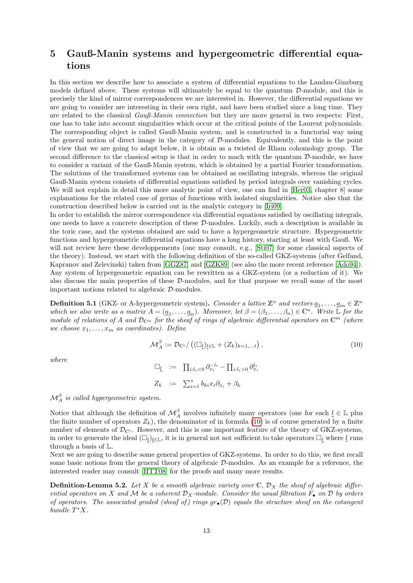## <span id="page-12-0"></span>5 Gauß-Manin systems and hypergeometric differential equations

In this section we describe how to associate a system of differential equations to the Landau-Ginzburg models defined above. These systems will ultimately be equal to the quantum  $\mathcal{D}\text{-module}$ , and this is precisely the kind of mirror correspondences we are interested in. However, the differential equations we are going to consider are interesting in their own right, and have been studied since a long time. They are related to the classical  $Gau\beta\text{-}Manin$  connection but they are more general in two respects: First, one has to take into account singularities which occur at the critical points of the Laurent polynomials. The corresponding object is called Gauß-Manin system, and is constructed in a functorial way using the general notion of direct image in the category of D-modules. Equivalently, and this is the point of view that we are going to adapt below, it is obtain as a twisted de Rham cohomology group. The second difference to the classical setup is that in order to mach with the quantum  $\mathcal{D}\text{-module}$ , we have to consider a variant of the Gauß-Manin system, which is obtained by a partial Fourier transformation. The solutions of the transformed systems can be obtained as oscillating integrals, whereas the original Gauß-Manin system consists of differential equations satisfied by period integrals over vanishing cycles. We will not explain in detail this more analytic point of view, one can find in [\[Her03,](#page-21-7) chapter 8] some explanations for the related case of germs of functions with isolated singularities. Notice also that the construction described below is carried out in the analytic category in [\[Iri09\]](#page-22-5).

In order to establish the mirror correspondence via differential equations satisfied by oscillating integrals, one needs to have a concrete description of these D-modules. Luckily, such a description is available in the toric case, and the systems obtained are said to have a hypergeometric structure. Hypergeometric functions and hypergeometric differential equations have a long history, starting at least with Gauß. We will not review here these developpements (one may consult, e.g., [\[Sti07\]](#page-23-0) for some classical aspects of the theory). Instead, we start with the following definition of the so-called GKZ-systems (after Gelfand, Kapranov and Zelevinski) taken from [\[GGZ87\]](#page-21-8) and [\[GZK89\]](#page-21-9) (see also the more recent reference [\[Ado94\]](#page-21-10)). Any system of hypergeometric equation can be rewritten as a GKZ-system (or a reduction of it). We also discuss the main properties of these D-modules, and for that purpose we recall some of the most important notions related to algebraic D-modules.

**Definition 5.1** (GKZ- or A-hypergeometric system). Consider a lattice  $\mathbb{Z}^n$  and vectors  $\underline{a}_1, \ldots, \underline{a}_m \in \mathbb{Z}^n$ which we also write as a matrix  $A = (a_1, \ldots, a_n)$ . Moreover, let  $\beta = (\beta_1, \ldots, \beta_n) \in \mathbb{C}^n$ . Write L for the module of relations of A and  $\mathcal{D}_{\mathbb{C}^m}$  for the sheaf of rings of algebraic differential operators on  $\mathbb{C}^m$  (where we choose  $x_1, \ldots, x_m$  as coordinates). Define

<span id="page-12-1"></span>
$$
\mathcal{M}_A^{\beta} := \mathcal{D}_{\mathbb{C}^s} / \left( (\Box_{\underline{l}})_{\underline{l} \in \mathbb{L}} + (Z_k)_{k=1,\dots t} \right),\tag{10}
$$

where

$$
\Box_{\underline{l}} := \Pi_{i:l_i<0} \partial_{x_i}^{-l_i} - \Pi_{i:l_i>0} \partial_{x_i}^{l_i}
$$

$$
Z_k := \sum_{i=1}^s b_{ki} x_i \partial_{x_i} + \beta_k
$$

 $\mathcal{M}^{\beta}_A$  is called hypergeometric system.

Notice that although the definition of  $\mathcal{M}_{A}^{\beta}$  involves infinitely many operators (one for each  $\underline{l} \in \mathbb{L}$  plus the finite number of operators  $Z_k$ ), the denominator of in formula [\(10\)](#page-12-1) is of course generated by a finite number of elements of  $\mathcal{D}_{\mathbb{C}^s}$ . However, and this is one important feature of the theory of GKZ-systems, in order to generate the ideal  $(\Box_l)_{l\in\mathbb{L}}$ , it is in general not not sufficient to take operators  $\Box_l$  where  $\underline{l}$  runs through a basis of L.

Next we are going to describe some general properties of GKZ-systems. In order to do this, we first recall some basic notions from the general theory of algebraic D-modules. As an example for a reference, the interested reader may consult [\[HTT08\]](#page-22-7) for the proofs and many more results.

**Definition-Lemma 5.2.** Let X be a smooth algebraic variety over  $\mathbb{C}$ ,  $\mathcal{D}_X$  the sheaf of algebraic differential operators on X and M be a coherent  $\mathcal{D}_X$ -module. Consider the usual filtration  $F_{\bullet}$  on D by orders of operators. The associated graded (sheaf of) rings  $gr_{\bullet}(\mathcal{D})$  equals the structure sheaf on the cotangent bundle  $T^*X$ .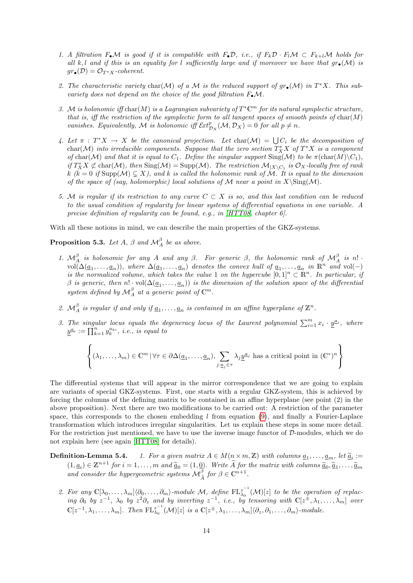- 1. A filtration  $F_{\bullet}\mathcal{M}$  is good if it is compatible with  $F_{\bullet}\mathcal{D}$ , i.e., if  $F_k\mathcal{D} \cdot F_l\mathcal{M} \subset F_{k+l}\mathcal{M}$  holds for all k, l and if this is an equality for l sufficiently large and if moreover we have that  $gr_{\bullet}(\mathcal{M})$  is  $gr_{\bullet}(\mathcal{D}) = \mathcal{O}_{T^*X}$ -coherent.
- 2. The characteristic variety char $(M)$  of a M is the reduced support of  $gr_{\bullet}(M)$  in  $T^*X$ . This subvariety does not depend on the choice of the good filtration  $F_{\bullet} \mathcal{M}$ .
- 3. M is holonomic iff char(M) is a Lagrangian subvariety of  $T^{\ast} \mathbb{C}^m$  for its natural symplectic structure, that is, iff the restriction of the symplectic form to all tangent spaces of smooth points of  $char(M)$ vanishes. Equivalently, M is holonomic iff  $\mathcal{E}xt_{\mathcal{D}_X}^p(\mathcal{M}, \mathcal{D}_X) = 0$  for all  $p \neq n$ .
- 4. Let  $\pi : T^*X \to X$  be the canonical projection. Let  $char(\mathcal{M}) = \bigcup C_i$  be the decomposition of char(M) into irreducible components. Suppose that the zero section  $T^*_XX$  of  $T^*X$  is a component of char(M) and that it is equal to  $C_1$ . Define the singular support  $\text{Sing}(\mathcal{M})$  to be  $\pi(\text{char}(M)\backslash C_1)$ , if  $T^*_XX \not\subset \text{char}(\mathcal{M})$ , then  $\text{Sing}(\mathcal{M}) = \text{Supp}(\mathcal{M})$ . The restriction  $\mathcal{M}_{|X \setminus C_1}$  is  $\mathcal{O}_X$ -locally free of rank k (k = 0 if Supp( $\mathcal{M}$ )  $\subseteq X$ ), and k is called the holonomic rank of  $\mathcal{M}$ . It is equal to the dimension of the space of (say, holomorphic) local solutions of M near a point in  $X\\Sing(M)$ .
- 5. M is regular if its restriction to any curve  $C \subset X$  is so, and this last condition can be reduced to the usual condition of regularity for linear systems of differential equations in one variable. A precise definition of regularity can be found, e.g., in [\[HTT08,](#page-22-7) chapter 6].

With all these notions in mind, we can describe the main properties of the GKZ-systems.

**Proposition 5.3.** Let A,  $\beta$  and  $\mathcal{M}_{A}^{\beta}$  be as above.

- 1.  $\mathcal{M}_{A}^{\beta}$  is holonomic for any A and any  $\beta$ . For generic  $\beta$ , the holonomic rank of  $\mathcal{M}_{A}^{\beta}$  is n!  $\text{vol}(\Delta(\underline{a}_1,\ldots,\underline{a}_n)),$  where  $\Delta(\underline{a}_1,\ldots,\underline{a}_n)$  denotes the convex hull of  $\underline{a}_1,\ldots,\underline{a}_n$  in  $\mathbb{R}^n$  and  $\text{vol}(-)$ is the normalized volume, which takes the value 1 on the hypercube  $[0,1]^n \subset \mathbb{R}^n$ . In particular, if  $\beta$  is generic, then  $n! \cdot \text{vol}(\Delta(\underline{a}_1, \ldots, \underline{a}_n))$  is the dimension of the solution space of the differential system defined by  $\mathcal{M}^{\beta}_A$  at a generic point of  $\mathbb{C}^m$ .
- 2.  $\mathcal{M}_{A}^{\beta}$  is regular if and only if  $\underline{a}_1, \ldots, \underline{a}_n$  is contained in an affine hyperplane of  $\mathbb{Z}^n$ .
- 3. The singular locus equals the degeneracy locus of the Laurent polynomial  $\sum_{i=1}^{m} x_i \cdot \underline{y}^{a_i}$ , where  $\underline{y}^{a_i}:=\prod_{k=1}^n y_k^{a_{ki}}, \ i.e., \ is \ equal \ to$

$$
\left\{(\lambda_1,\ldots,\lambda_m)\in\mathbb{C}^m\,|\,\forall\tau\in\partial\Delta(\underline{a}_1,\ldots,\underline{a}_n),\sum_{j:\underline{a}_j\in\tau}\lambda_j\underline{y}^{\underline{a}_j}\text{ has a critical point in }(\mathbb{C}^*)^n\right\}
$$

The differential systems that will appear in the mirror correspondence that we are going to explain are variants of special GKZ-systems. First, one starts with a regular GKZ-system, this is achieved by forcing the columns of the defining matrix to be contained in an affine hyperplane (see point (2) in the above proposition). Next there are two modifications to be carried out: A restriction of the parameter space, this corresponds to the chosen embedding  $l$  from equation [\(9\)](#page-9-1), and finally a Fourier-Laplace transformation which introduces irregular singularities. Let us explain these steps in some more detail. For the restriction just mentioned, we have to use the inverse image functor of D-modules, which we do not explain here (see again [\[HTT08\]](#page-22-7) for details).

- **Definition-Lemma 5.4.** 1. For a given matrix  $A \in M(n \times m, \mathbb{Z})$  with columns  $\underline{a}_1, \ldots, \underline{a}_m$ , let  $\underline{\widetilde{a}}_i :=$ <br>(1, c)  $\in \mathbb{Z}^{n+1}$  for a set  $\underline{a}_i$  (1, 0). While  $\widetilde{a}_i$  for the matrix with relaxing  $\widetilde$  $(1, \underline{a}_i) \in \mathbb{Z}^{n+1}$  for  $i = 1, ..., m$  and  $\tilde{\underline{a}}_0 = (1, \underline{0})$ . Write  $\tilde{A}$  for the matrix with columns  $\tilde{\underline{a}}_0, \tilde{\underline{a}}_1, ..., \tilde{\underline{a}}_m$ <br>and consider the hypergeometric systems  $\mathcal{M}_{\tilde{A}}^{\beta}$  for  $\beta \in \mathbb{C}^{$ 
	- 2. For any  $\mathbb{C}[\lambda_0,\ldots,\lambda_m]\langle \partial_0,\ldots,\partial_m\rangle$ -module M, define  $\mathrm{FL}_{\lambda_0}^{z^{-1}}$  $\int_{\lambda_0}^{z}$   $(\mathcal{M})[z]$  to be the operation of replacing  $\partial_0$  by  $z^{-1}$ ,  $\lambda_0$  by  $z^2\partial_z$  and by inverting  $z^{-1}$ , i.e., by tensoring with  $\mathbb{C}[z^{\pm},\lambda_1,\ldots,\lambda_m]$  over  $\mathbb{C}[z^{-1},\lambda_1,\ldots,\lambda_m]$ . Then  $\mathrm{FL}_{\lambda_0}^{z^{-1}}$  $\lambda_0^{z^{-1}}(\mathcal{M})[z]$  is a  $\mathbb{C}[z^{\pm},\lambda_1,\ldots,\lambda_m]\langle \partial_z,\partial_1,\ldots,\partial_m\rangle$ -module.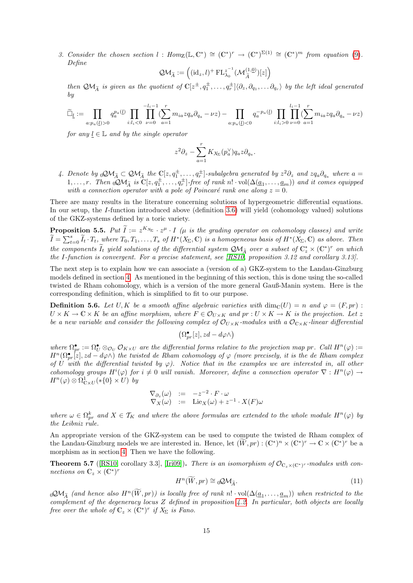3. Consider the chosen section  $l : Hom_{\mathbb{Z}}(\mathbb{L}, \mathbb{C}^*) \cong (\mathbb{C}^*)^r \to (\mathbb{C}^*)^{\Sigma(1)} \cong (\mathbb{C}^*)^m$  from equation [\(9\)](#page-9-1). Define

$$
\mathcal{QM}_{\widetilde{A}} := \left( (\mathrm{id}_{z}, l)^{+} \mathrm{FL}_{\lambda_{0}}^{z^{-1}} (\mathcal{M}_{\widetilde{A}}^{(1, \underline{0})})[z] \right)
$$

then  $\mathcal{QM}_{\widetilde{A}}$  is given as the quotient of  $\mathbb{C}[z^{\pm}, q_1^{\pm}, \ldots, q_r^{\pm}] \langle \partial_z, \partial_{q_1}, \ldots \partial_{q_r} \rangle$  by the left ideal generated by

$$
\widetilde{\Box}_{\underline{l}} := \prod_{a: p_a(\underline{l}) > 0} q_a^{p_a(\underline{l})} \prod_{i: l_i < 0} \prod_{\nu=0}^{-l_i - 1} \sum_{a=1}^r m_{ia} z q_a \partial_{q_a} - \nu z) - \prod_{a: p_a(\underline{l}) < 0} q_a^{-p_a(\underline{l})} \prod_{i: l_i > 0} \prod_{\nu=0}^{l_i - 1} \sum_{a=1}^r m_{ia} z q_a \partial_{q_a} - \nu z)
$$

for any  $l \in \mathbb{L}$  and by the single operator

$$
z^2 \partial_z - \sum_{a=1}^r K_{X_\Sigma}(p_a^\vee) q_a z \partial_{q_a}.
$$

4. Denote by  ${}_0\mathcal{Q}\mathcal{M}_{\widetilde{A}} \subset \mathcal{Q}\mathcal{M}_{\widetilde{A}}$  the  $\mathbb{C}[z, q_1^{\pm}, \ldots, q_r^{\pm}]$ -subalgebra generated by  $z^2\partial_z$  and  $zq_a\partial_{q_a}$  where  $a =$ 1, ..., r. Then  $\phi \mathcal{Q} \mathcal{M}_{\tilde{A}}$  is  $\mathbb{C}[z, q^{\pm}_1, \ldots, q^{\pm}_r]$ -free of rank n!  $\text{vol}(\Delta(\underline{a}_1, \ldots, \underline{a}_m))$  and it comes equipped with a connection operator with a pole of Poincaré rank one along  $z = 0$ .

There are many results in the literature concerning solutions of hypergeometric differential equations. In our setup, the I-function introduced above (definition [3.6\)](#page-8-1) will yield (cohomology valued) solutions of the GKZ-systems defined by a toric variety.

**Proposition 5.5.** Put  $\widetilde{I} := z^{K_{X_{\Sigma}}} \cdot z^{\mu} \cdot I$  ( $\mu$  is the grading operator on cohomology classes) and write  $\widetilde{I} = \sum_{t=0}^{s} \widetilde{I}_t \cdot T_t$ , where  $T_0, T_1, \ldots, T_s$  of  $H^*(X_{\Sigma}, \mathbb{C})$  is a homogeneous basis of  $H^*(X_{\Sigma}, \mathbb{C})$  as above. Then the components  $\tilde{I}_t$  yield solutions of the differential system  $\mathcal{QM}_{\tilde{A}}$  over a subset of  $\mathbb{C}_z^* \times (\mathbb{C}^*)^r$  on which the I-function is convergent. For a precise statement, see [\[RS10,](#page-22-4) proposition 3.12 and corollary 3.13].

The next step is to explain how we can associate a (version of a) GKZ-system to the Landau-Ginzburg models defined in section [4.](#page-8-0) As mentioned in the beginning of this section, this is done using the so-called twisted de Rham cohomology, which is a version of the more general Gauß-Manin system. Here is the corresponding definition, which is simplified to fit to our purpose.

**Definition 5.6.** Let U, K be a smooth affine algebraic varieties with  $\dim_{\mathbb{C}}(U) = n$  and  $\varphi = (F, pr)$ :  $U \times K \to \mathbb{C} \times K$  be an affine morphism, where  $F \in \mathcal{O}_{U \times K}$  and  $pr : U \times K \to K$  is the projection. Let z be a new variable and consider the following complex of  $\mathcal{O}_{U\times K}$ -modules with a  $\mathcal{O}_{C\times K}$ -linear differential

$$
\left(\Omega_{pr}^\bullet[z],zd-d\varphi\wedge\right)
$$

where  $\Omega_{pr}^{\bullet} := \Omega_U^{\bullet} \otimes_{\mathcal{O}_U} \mathcal{O}_{K \times U}$  are the differential forms relative to the projection map pr. Call  $H^n(\varphi) :=$  $H^n(\Omega_{pr}^{\bullet}[z],zd-d\varphi\wedge)$  the twisted de Rham cohomology of  $\varphi$  (more precisely, it is the de Rham complex of U with the differential twisted by  $\varphi$ ). Notice that in the examples we are interested in, all other cohomology groups  $H^i(\varphi)$  for  $i \neq 0$  will vanish. Moreover, define a connection operator  $\nabla : H^n(\varphi) \to$  $H^n(\varphi) \otimes \Omega^1_{\mathbb{C} \times U}(*\{0\} \times U)$  by

$$
\nabla_{\partial_z}(\omega) := -z^{-2} \cdot F \cdot \omega \nabla_X(\omega) := \text{Lie}_X(\omega) + z^{-1} \cdot X(F)\omega
$$

where  $\omega \in \Omega_{pr}^k$  and  $X \in \mathcal{T}_K$  and where the above formulas are extended to the whole module  $H^n(\varphi)$  by the Leibniz rule.

An appropriate version of the GKZ-system can be used to compute the twisted de Rham complex of the Landau-Ginzburg models we are interested in. Hence, let  $(\widetilde{W}, pr) : (\mathbb{C}^*)^n \times (\mathbb{C}^*)^r \to \mathbb{C} \times (\mathbb{C}^*)^r$  be a morphism as in section [4.](#page-8-0) Then we have the following.

**Theorem 5.7** ([\[RS10,](#page-22-4) corollary 3.3], [\[Iri09\]](#page-22-5)). There is an isomorphism of  $\mathcal{O}_{\mathbb{C}_z\times(\mathbb{C}^*)^r}$ -modules with connections on  $\mathbb{C}_z \times (\mathbb{C}^*)^r$ 

<span id="page-14-0"></span>
$$
H^n(\widetilde{W}, pr) \cong {}_0\mathcal{Q}M_{\widetilde{A}}.\tag{11}
$$

0 $\mathcal{QM}_{\tilde{A}}$  (and hence also  $H^n(\tilde{W}, pr)$ ) is locally free of rank n! · vol( $\Delta(\underline{a}_1, \ldots, \underline{a}_m)$ ) when restricted to the complement of the degeneracy locus Z defined in proposition [4.2.](#page-10-1) In particular, both objects are locally free over the whole of  $\mathbb{C}_z \times (\mathbb{C}^*)^r$  if  $X_{\Sigma}$  is Fano.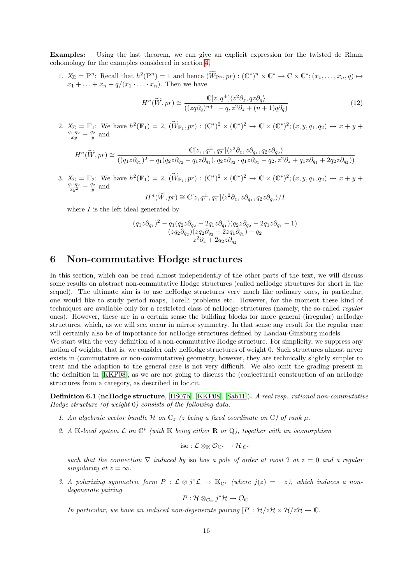Examples: Using the last theorem, we can give an explicit expression for the twisted de Rham cohomology for the examples considered in section [4.](#page-8-0)

1.  $X_{\Sigma} = \mathbb{P}^n$ : Recall that  $h^2(\mathbb{P}^n) = 1$  and hence  $(\widetilde{W}_{\mathbb{P}^n}, pr) : (\mathbb{C}^*)^n \times \mathbb{C}^* \to \mathbb{C} \times \mathbb{C}^*; (x_1, \ldots, x_n, q) \mapsto$  $x_1 + \ldots + x_n + q/(x_1 \cdot \ldots \cdot x_n)$ . Then we have

<span id="page-15-2"></span>
$$
H^{n}(\widetilde{W},pr) \cong \frac{\mathbb{C}[z,q^{\pm}]\langle z^{2}\partial_{z},qz\partial_{q}\rangle}{((zq\partial_{q})^{n+1}-q,z^{2}\partial_{z}+(n+1)q\partial_{q})}
$$
(12)

2.  $X_{\Sigma} = \mathbb{F}_1$ : We have  $h^2(\mathbb{F}_1) = 2$ ,  $(\widetilde{W}_{\mathbb{F}_1}, pr) : (\mathbb{C}^*)^2 \times (\mathbb{C}^*)^2 \to \mathbb{C} \times (\mathbb{C}^*)^2$ ;  $(x, y, q_1, q_2) \mapsto x + y + \frac{q_1 \cdot q_2}{xy} + \frac{q_2}{y}$  and

$$
H^n(\widetilde{W}, pr) \cong \frac{\mathbb{C}[z, , q_1^{\pm}, q_2^{\pm}]\langle z^2 \partial_z, z \partial_{q_1}, q_2 z \partial_{q_2} \rangle}{((q_1 z \partial_{q_1})^2 - q_1 (q_2 z \partial_{q_2} - q_1 z \partial_{q_1}), q_2 z \partial_{q_2} \cdot q_1 z \partial_{q_1} - q_2, z^2 \partial_z + q_1 z \partial_{q_1} + 2q_2 z \partial_{q_2}) )}
$$

3.  $X_{\Sigma} = \mathbb{F}_2$ : We have  $h^2(\mathbb{F}_1) = 2$ ,  $(\widetilde{W}_{\mathbb{F}_1}, pr) : (\mathbb{C}^*)^2 \times (\mathbb{C}^*)^2 \to \mathbb{C} \times (\mathbb{C}^*)^2$ ;  $(x, y, q_1, q_2) \mapsto x + y + \frac{q_1 \cdot q_2}{xy^2} + \frac{q_2}{y}$  and

$$
H^{n}(\widetilde{W},pr) \cong \mathbb{C}[z,q_{1}^{\pm},q_{1}^{\pm}]\langle z^{2}\partial_{z},z\partial_{q_{1}},q_{2}z\partial_{q_{2}}\rangle/I
$$

where  $I$  is the left ideal generated by

$$
\begin{array}{c} (q_1z\partial_{q_1})^2-q_1(q_2z\partial_{q_2}-2q_1z\partial_{q_1})(q_2z\partial_{q_2}-2q_1z\partial_{q_1}-1)\\ (zq_2\partial_{q_2})(zq_2\partial_{q_2}-2zq_1\partial_{q_1})-q_2\\ z^2\partial_{z}+2q_2z\partial_{q_2} \end{array}
$$

## <span id="page-15-0"></span>6 Non-commutative Hodge structures

In this section, which can be read almost independently of the other parts of the text, we will discuss some results on abstract non-commutative Hodge structures (called ncHodge structures for short in the sequel). The ultimate aim is to use ncHodge structures very much like ordinary ones, in particular, one would like to study period maps, Torelli problems etc. However, for the moment these kind of techniques are available only for a restricted class of ncHodge-structures (namely, the so-called regular ones). However, these are in a certain sense the building blocks for more general (irregular) ncHodge structures, which, as we will see, occur in mirror symmetry. In that sense any result for the regular case will certainly also be of importance for ncHodge structures defined by Landau-Ginzburg models.

We start with the very definition of a non-commutative Hodge structure. For simplicity, we suppress any notion of weights, that is, we consider only ncHodge structures of weight 0. Such structures almost never exists in (commutative or non-commutative) geometry, however, they are technically slightly simpler to treat and the adaption to the general case is not very difficult. We also omit the grading present in the definition in [\[KKP08\]](#page-22-8), as we are not going to discuss the (conjectural) construction of an ncHodge structures from a category, as described in loc.cit.

<span id="page-15-1"></span>Definition 6.1 (ncHodge structure, [\[HS07b\]](#page-22-9), [\[KKP08\]](#page-22-8), [\[Sab11\]](#page-22-10)). A real resp. rational non-commutative Hodge structure (of weight 0) consists of the following data:

- 1. An algebraic vector bundle H on  $\mathbb{C}_z$  (z being a fixed coordinate on  $\mathbb{C}$ ) of rank  $\mu$ .
- 2. A K-local system  $\mathcal L$  on  $\mathbb C^*$  (with K being either  $\mathbb R$  or Q), together with an isomorphism

$$
\mathrm{iso}: \mathcal{L} \otimes_{\mathbb{K}} \mathcal{O}_{\mathbb{C}^*} \rightarrow \mathcal{H}_{|\mathbb{C}^*}
$$

such that the connection  $\nabla$  induced by iso has a pole of order at most 2 at  $z = 0$  and a regular singularity at  $z = \infty$ .

3. A polarizing symmetric form  $P: \mathcal{L} \otimes j^* \mathcal{L} \to \underline{\mathbb{K}}_{\mathbb{C}^*}$  (where  $j(z) = -z$ ), which induces a nondegenerate pairing

$$
P: \mathcal{H} \otimes_{\mathcal{O}_C} j^* \mathcal{H} \to \mathcal{O}_C
$$

In particular, we have an induced non-degenerate pairing  $[P] : \mathcal{H}/z\mathcal{H} \times \mathcal{H}/z\mathcal{H} \to \mathbb{C}$ .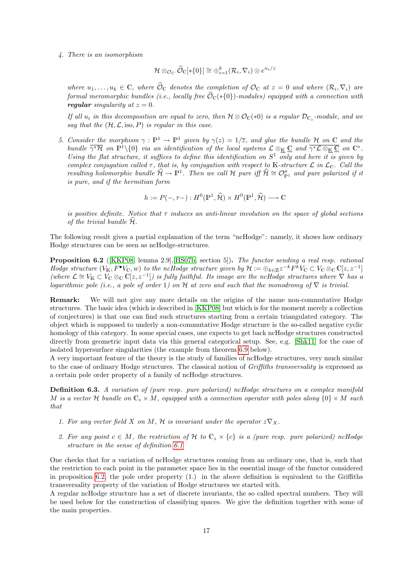### 4. There is an isomorphism

$$
\mathcal{H} \otimes_{\mathcal{O}_C} \widehat{\mathcal{O}}_{\mathbb{C}}[*\{0\}] \cong \oplus_{i=1}^k (\mathcal{R}_i, \nabla_i) \otimes e^{u_i/z}
$$

where  $u_1, \ldots, u_k \in \mathbb{C}$ , where  $\widehat{\mathcal{O}}_{\mathbb{C}}$  denotes the completion of  $\mathcal{O}_{\mathbb{C}}$  at  $z = 0$  and where  $(\mathcal{R}_i, \nabla_i)$  are formal meromorphic bundles (i.e., locally free  $\widehat{\mathcal{O}}_{\mathbb{C}}(*\{0\})$ -modules) equipped with a connection with regular singularity at  $z = 0$ .

If all  $u_i$  in this decomposition are equal to zero, then  $\mathcal{H} \otimes \mathcal{O}_{\mathbb{C}}(*0)$  is a regular  $\mathcal{D}_{\mathbb{C}_z}$ -module, and we say that the  $(\mathcal{H}, \mathcal{L}, \text{iso}, P)$  is regular in this case.

5. Consider the morphism  $\gamma : \mathbb{P}^1 \to \mathbb{P}^1$  given by  $\gamma(z) = 1/\overline{z}$ , and glue the bundle H on C and the bundle  $\overline{\gamma^*\mathcal{H}}$  on  $\mathbb{P}^1\setminus\{0\}$  via an identification of the local systems  $\mathcal{L}\otimes_{\mathbb{K}}\mathbb{C}$  and  $\overline{\gamma^*\mathcal{L}\otimes_{\mathbb{K}}\mathbb{C}}$  on  $\mathbb{C}^*$ . Using the flat structure, it suffices to define this identification on  $S^1$  only and here it is given by complex conjugation called  $\tau$ , that is, by conjugation with respect to K-structure  $\mathcal L$  in  $\mathcal L_{\mathbb C}$ . Call the resulting holomorphic bundle  $\widehat{\mathcal{H}} \to \mathbb{P}^1$ . Then we call H pure iff  $\widehat{\mathcal{H}} \cong \mathcal{O}_{\mathbb{P}^1}^{\mu}$  and pure polarized if it is pure, and if the hermitian form

$$
h := P(-, \tau -) : H^0(\mathbb{P}^1, \widehat{\mathcal{H}}) \times H^0(\mathbb{P}^1, \widehat{\mathcal{H}}) \longrightarrow \mathbb{C}
$$

is positive definite. Notice that  $\tau$  induces an anti-linear involution on the space of global sections of the trivial bundle  $\mathcal{H}$ .

The following result gives a partial explanation of the term "ncHodge": namely, it shows how ordinary Hodge structures can be seen as ncHodge-structures.

<span id="page-16-0"></span>Proposition 6.2 ([\[KKP08,](#page-22-8) lemma 2.9],[\[HS07b,](#page-22-9) section 5]). The functor sending a real resp. rational Hodge structure  $(V_{\mathbb{K}}, F^{\bullet}V_{\mathbb{C}}, w)$  to the ncHodge structure given by  $\mathcal{H} := \bigoplus_{k \in \mathbb{Z}} z^{-k} F^k V_{\mathbb{C}} \subset V_{\mathbb{C}} \otimes_{\mathbb{C}} \mathbb{C}[z, z^{-1}]$ (where  $\mathcal{L} \cong V_{\mathbb{K}} \subset V_{\mathbb{C}} \otimes_{\mathbb{C}} \mathbb{C}[z, z^{-1}]$ ) is fully faithful. Its image are the ncHodge structures where  $\nabla$  has a logarithmic pole (i.e., a pole of order 1) on H at zero and such that the monodromy of  $\nabla$  is trivial.

Remark: We will not give any more details on the origins of the name non-commutative Hodge structures. The basic idea (which is described in [\[KKP08\]](#page-22-8) but which is for the moment merely a collection of conjectures) is that one can find such structures starting from a certain triangulated category. The object which is supposed to underly a non-commutative Hodge structure is the so-called negative cyclic homology of this category. In some special cases, one expects to get back ncHodge structures constructed directly from geometric input data via this general categorical setup. See, e.g. [\[Shk11\]](#page-23-1) for the case of isolated hypersurface singularities (the example from theorem [6.9](#page-18-1) below).

A very important feature of the theory is the study of families of ncHodge structures, very much similar to the case of ordinary Hodge structures. The classical notion of Griffiths transversality is expressed as a certain pole order property of a family of ncHodge structures.

Definition 6.3. A variation of (pure resp. pure polarized) ncHodge structures on a complex manifold M is a vector H bundle on  $\mathbb{C}_z \times M$ , equipped with a connection operator with poles along  $\{0\} \times M$  such that

- 1. For any vector field X on M, H is invariant under the operator  $z\nabla x$ .
- 2. For any point  $c \in M$ , the restriction of H to  $\mathbb{C}_z \times \{c\}$  is a (pure resp. pure polarized) ncHodge structure in the sense of definition [6.1](#page-15-1)

One checks that for a variation of ncHodge structures coming from an ordinary one, that is, such that the restriction to each point in the parameter space lies in the essential image of the functor considered in proposition [6.2,](#page-16-0) the pole order property  $(1)$  in the above definition is equivalent to the Griffiths transversality property of the variation of Hodge structures we started with.

A regular ncHodge structure has a set of discrete invariants, the so called spectral numbers. They will be used below for the construction of classifying spaces. We give the definition together with some of the main properties.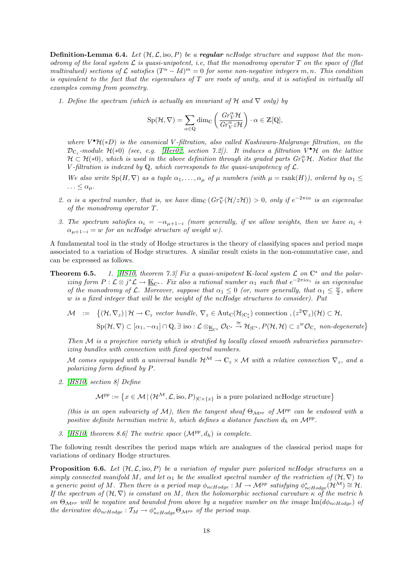**Definition-Lemma 6.4.** Let  $(H, \mathcal{L}, \text{iso}, P)$  be a **regular** ncHodge structure and suppose that the monodromy of the local system  $\mathcal L$  is quasi-unipotent, i.e, that the monodromy operator  $T$  on the space of (flat multivalued) sections of  $\mathcal L$  satisfies  $(T^n - Id)^m = 0$  for some non-negative integers m, n. This condition is equivalent to the fact that the eigenvalues of  $T$  are roots of unity, and it is satisfied in virtually all examples coming from geometry.

1. Define the spectrum (which is actually an invariant of H and  $\nabla$  only) by

$$
\mathrm{Sp}(\mathcal{H},\nabla)=\sum_{\alpha\in\mathbb{Q}}\dim_{\mathbb{C}}\left(\frac{Gr_{V}^{\alpha}\mathcal{H}}{Gr_{V}^{\alpha}z\mathcal{H}}\right)\cdot\alpha\in\mathbb{Z}[\mathbb{Q}],
$$

where  $V^{\bullet}H(*D)$  is the canonical V-filtration, also called Kashiwara-Malgrange filtration, on the  ${\cal D}_{{\mathbb C}_z}$ -module  ${\cal H}(*0)$  (see, e.g. [\[Her02,](#page-21-11) section 7.2]). It induces a filtration  $V^\bullet {\cal H}$  on the lattice  $H \subset \mathcal{H}(*0)$ , which is used in the above definition through its graded parts  $Gr_V^{\alpha} \mathcal{H}$ . Notice that the V-filtration is indexed by  $\mathbb{Q}$ , which corresponds to the quasi-unipotency of  $\mathcal{L}$ .

We also write  $Sp(H, \nabla)$  as a tuple  $\alpha_1, \ldots, \alpha_\mu$  of  $\mu$  numbers (with  $\mu = \text{rank}(H)$ ), ordered by  $\alpha_1 \leq$  $\ldots \leq \alpha_{\mu}$ .

- 2.  $\alpha$  is a spectral number, that is, we have  $\dim_{\mathbb{C}}(Gr_{V}^{\alpha}(\mathcal{H}/z\mathcal{H})) > 0$ , only if  $e^{-2\pi i \alpha}$  is an eigenvalue of the monodromy operator T.
- 3. The spectrum satisfies  $\alpha_i = -\alpha_{\mu+1-i}$  (more generally, if we allow weights, then we have  $\alpha_i$  +  $\alpha_{\mu+1-i} = w$  for an ncHodge structure of weight w).

A fundamental tool in the study of Hodge structures is the theory of classifying spaces and period maps associated to a variation of Hodge structures. A similar result exists in the non-commutative case, and can be expressed as follows.

**Theorem 6.5.** 1. [\[HS10,](#page-22-11) theorem 7.3] Fix a quasi-unipotent K-local system  $\mathcal{L}$  on  $\mathbb{C}^*$  and the polarizing form  $P: \mathcal{L} \otimes j^* \mathcal{L} \to \underline{\mathbb{K}}_{\mathbb{C}^*}$ . Fix also a rational number  $\alpha_1$  such that  $e^{-2\pi i \alpha_1}$  is an eigenvalue of the monodromy of  $\mathcal{L}$ . Moreover, suppose that  $\alpha_1 \leq 0$  (or, more generally, that  $\alpha_1 \leq \frac{w}{2}$ , where w is a fixed integer that will be the weight of the ncHodge structures to consider). Put

$$
\mathcal{M} \quad := \quad \{ (\mathcal{H}, \nabla_z) \, | \, \mathcal{H} \to \mathbb{C}_z \text{ vector bundle, } \nabla_z \in \text{Aut}_{\mathbb{C}}(\mathcal{H}_{|\mathbb{C}_z^*}) \text{ connection, } (z^2 \nabla_z)(\mathcal{H}) \subset \mathcal{H},
$$
\n
$$
\text{Sp}(\mathcal{H}, \nabla) \subset [\alpha_1, -\alpha_1] \cap \mathbb{Q}, \exists \text{ iso} : \mathcal{L} \otimes_{\mathbb{K}_{\mathbb{C}^*}} \mathcal{O}_{\mathbb{C}^*} \xrightarrow{\cong} \mathcal{H}_{|\mathbb{C}^*}, P(\mathcal{H}, \mathcal{H}) \subset z^w \mathcal{O}_{\mathbb{C}_z} \text{ non-degenerate} \}
$$

Then  $M$  is a projective variety which is stratified by locally closed smooth subvarieties parameterizing bundles with connection with fixed spectral numbers.

M comes equipped with a universal bundle  $\mathcal{H}^{\mathcal{M}} \to \mathbb{C}_z \times \mathcal{M}$  with a relative connection  $\nabla_z$ , and a polarizing form defined by P.

2. [\[HS10,](#page-22-11) section 8] Define

 $\mathcal{M}^{pp} := \{x \in \mathcal{M} \, | \, (\mathcal{H}^{\mathcal{M}}, \mathcal{L}, \text{iso}, P)_{|\mathbb{C} \times \{x\}} \text{ is a pure polarized ncflodge structure}\}\$ 

(this is an open subvariety of M), then the tangent sheaf  $\Theta_{\mathcal{M}^{pp}}$  of  $\mathcal{M}^{pp}$  can be endowed with a positive definite hermitian metric h, which defines a distance function  $d_h$  on  $\mathcal{M}^{pp}$ .

3. [\[HS10,](#page-22-11) theorem 8.6] The metric space  $(\mathcal{M}^{pp}, d_h)$  is complete.

The following result describes the period maps which are analogues of the classical period maps for variations of ordinary Hodge structures.

**Proposition 6.6.** Let  $(H, \mathcal{L}, \text{iso}, P)$  be a variation of regular pure polarized ncHodge structures on a simply connected manifold M, and let  $\alpha_1$  be the smallest spectral number of the restriction of  $(\mathcal{H}, \nabla)$  to a generic point of M. Then there is a period map  $\phi_{ncHodge}: M \to \mathcal{M}^{pp}$  satisfying  $\phi_{ncHodge}^*(\mathcal{H}^{\mathcal{M}}) \cong \mathcal{H}$ . If the spectrum of  $(\mathcal{H}, \nabla)$  is constant on M, then the holomorphic sectional curvature  $\kappa$  of the metric h on  $\Theta_{\mathcal{M}^{pp}}$  will be negative and bounded from above by a negative number on the image  $\text{Im}(d\phi_{ncHodge})$  of the derivative  $d\phi_{ncHodge} : \mathcal{T}_M \to \phi_{ncHodge}^* \Theta_{\mathcal{M}^{pp}}$  of the period map.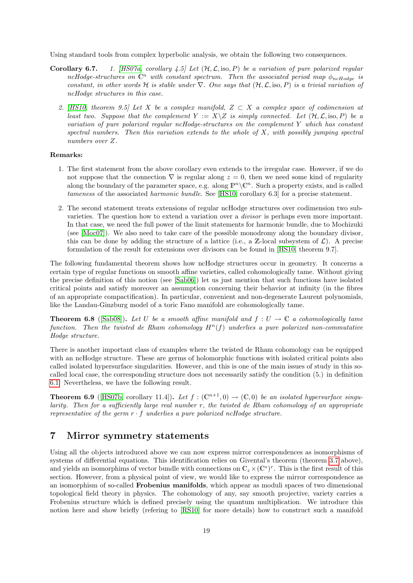Using standard tools from complex hyperbolic analysis, we obtain the following two consequences.

- **Corollary 6.7.** 1. [\[HS07a,](#page-22-12) corollary 4.5] Let  $(H, \mathcal{L}, \text{iso}, P)$  be a variation of pure polarized regular ncHodge-structures on  $\mathbb{C}^n$  with constant spectrum. Then the associated period map  $\phi_{ncHodge}$  is constant, in other words H is stable under  $\nabla$ . One says that  $(\mathcal{H}, \mathcal{L}, \text{iso}, P)$  is a trivial variation of ncHodge structures in this case.
	- 2. [\[HS10,](#page-22-11) theorem 9.5] Let X be a complex manifold,  $Z \subset X$  a complex space of codimension at least two. Suppose that the complement  $Y := X\setminus Z$  is simply connected. Let  $(\mathcal{H}, \mathcal{L}, \text{iso}, P)$  be a variation of pure polarized regular ncHodge-structures on the complement Y which has constant spectral numbers. Then this variation extends to the whole of  $X$ , with possibly jumping spectral numbers over Z.

### Remarks:

- 1. The first statement from the above corollary even extends to the irregular case. However, if we do not suppose that the connection  $\nabla$  is regular along  $z = 0$ , then we need some kind of regularity along the boundary of the parameter space, e.g. along  $\mathbb{P}^n\backslash\mathbb{C}^n$ . Such a property exists, and is called tameness of the associated harmonic bundle. See [\[HS10,](#page-22-11) corollary 6.3] for a precise statement.
- 2. The second statement treats extensions of regular ncHodge structures over codimension two subvarieties. The question how to extend a variation over a divisor is perhaps even more important. In that case, we need the full power of the limit statements for harmonic bundle, due to Mochizuki (see [\[Moc07\]](#page-22-13)). We also need to take care of the possible monodromy along the boundary divisor, this can be done by adding the structure of a lattice (i.e., a  $\mathbb{Z}$ -local subsystem of  $\mathcal{L}$ ). A precise formulation of the result for extensions over divisors can be found in [\[HS10,](#page-22-11) theorem 9.7].

The following fundamental theorem shows how ncHodge structures occur in geometry. It concerns a certain type of regular functions on smooth affine varieties, called cohomologically tame. Without giving the precise definition of this notion (see [\[Sab06\]](#page-22-14)) let us just mention that such functions have isolated critical points and satisfy moreover an assumption concerning their behavior at infinity (in the fibres of an appropriate compactification). In particular, convenient and non-degenerate Laurent polynomials, like the Landau-Ginzburg model of a toric Fano manifold are cohomologically tame.

<span id="page-18-2"></span>**Theorem 6.8** ([\[Sab08\]](#page-22-15)). Let U be a smooth affine manifold and  $f: U \to \mathbb{C}$  a cohomologically tame function. Then the twisted de Rham cohomology  $H<sup>n</sup>(f)$  underlies a pure polarized non-commutative Hodge structure.

There is another important class of examples where the twisted de Rham cohomology can be equipped with an ncHodge structure. These are germs of holomorphic functions with isolated critical points also called isolated hypersurface singularities. However, and this is one of the main issues of study in this socalled local case, the corresponding structure does not necessarily satisfy the condition (5.) in definition [6.1.](#page-15-1) Nevertheless, we have the following result.

<span id="page-18-1"></span>**Theorem 6.9** ([\[HS07b,](#page-22-9) corollary 11.4]). Let  $f : (\mathbb{C}^{n+1},0) \to (\mathbb{C},0)$  be an isolated hypersurface singularity. Then for a sufficiently large real number  $r$ , the twisted de Rham cohomology of an appropriate representative of the germ  $r \cdot f$  underlies a pure polarized ncHodge structure.

## <span id="page-18-0"></span>7 Mirror symmetry statements

Using all the objects introduced above we can now express mirror correspondences as isomorphisms of systems of differential equations. This identification relies on Givental's theorem (theorem [3.7](#page-8-2) above), and yields an isomorphims of vector bundle with connections on  $\mathbb{C}_z \times (\mathbb{C}^*)^r$ . This is the first result of this section. However, from a physical point of view, we would like to express the mirror correspondence as an isomorphism of so-called Frobenius manifolds, which appear as moduli spaces of two dimensional topological field theory in physics. The cohomology of any, say smooth projective, variety carries a Frobenius structure which is defined precisely using the quantum multiplication. We introduce this notion here and show briefly (refering to [\[RS10\]](#page-22-4) for more details) how to construct such a manifold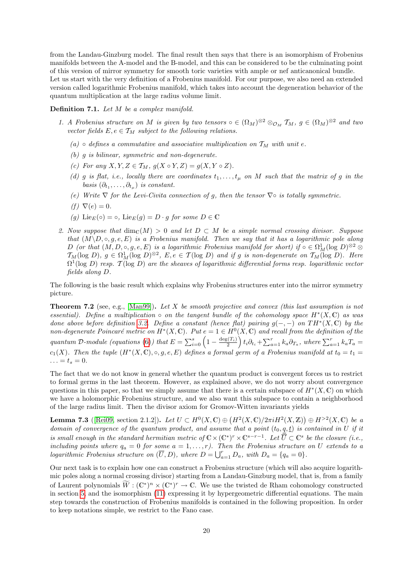from the Landau-Ginzburg model. The final result then says that there is an isomorphism of Frobenius manifolds between the A-model and the B-model, and this can be considered to be the culminating point of this version of mirror symmetry for smooth toric varieties with ample or nef anticanonical bundle. Let us start with the very definition of a Frobenius manifold. For our purpose, we also need an extended version called logarithmic Frobenius manifold, which takes into account the degeneration behavior of the quantum multiplication at the large radius volume limit.

### Definition 7.1. Let M be a complex manifold.

- 1. A Frobenius structure on M is given by two tensors  $\circ \in (\Omega_M)^{\otimes 2} \otimes_{\mathcal{O}_M} \mathcal{T}_M$ ,  $g \in (\Omega_M)^{\otimes 2}$  and two vector fields  $E, e \in \mathcal{T}_M$  subject to the following relations.
	- (a) ∘ defines a commutative and associative multiplication on  $T_M$  with unit e.
	- (b) g is bilinear, symmetric and non-degenerate.
	- (c) For any  $X, Y, Z \in \mathcal{T}_M$ ,  $g(X \circ Y, Z) = g(X, Y \circ Z)$ .
	- (d) g is flat, i.e., locally there are coordinates  $t_1, \ldots, t_u$  on M such that the matrix of g in the basis  $(\partial_{t_1}, \ldots, \partial_{t_\mu})$  is constant.
	- (e) Write  $\nabla$  for the Levi-Civita connection of g, then the tensor  $\nabla \circ$  is totally symmetric.
	- (f)  $\nabla(e) = 0$ .
	- (g)  $\text{Lie}_F(\circ) = \circ$ ,  $\text{Lie}_F(g) = D \cdot g$  for some  $D \in \mathbb{C}$
- 2. Now suppose that  $\dim_{\mathbb{C}}(M) > 0$  and let  $D \subset M$  be a simple normal crossing divisor. Suppose that  $(M\setminus D, \circ, q, e, E)$  is a Frobenius manifold. Then we say that it has a logarithmic pole along D (or that  $(M, D, \circ, g, e, E)$  is a logarithmic Frobenius manifold for short) if  $\circ \in \Omega^1_M(\log D)^{\otimes 2}$  $\mathcal{T}_M(\log D)$ ,  $g \in \Omega^1_M(\log D)^{\otimes 2}$ ,  $E, e \in \mathcal{T}(\log D)$  and if g is non-degenerate on  $\mathcal{T}_M(\log D)$ . Here  $\Omega^1(\log D)$  resp.  $\mathcal{T}(\log D)$  are the sheaves of logarithmic differential forms resp. logarithmic vector fields along D.

The following is the basic result which explains why Frobenius structures enter into the mirror symmetry picture.

<span id="page-19-0"></span>**Theorem 7.2** (see, e.g., [\[Man99\]](#page-22-16)). Let X be smooth projective and convex (this last assumption is not essential). Define a multiplication  $\circ$  on the tangent bundle of the cohomology space  $H^*(X, \mathbb{C})$  as was done above before definition [3.2.](#page-6-2) Define a constant (hence flat) pairing  $g(-,-)$  on  $TH^*(X,\mathbb{C})$  by the non-degenerate Poincaré metric on  $H^*(X, \mathbb{C})$ . Put  $e = 1 \in H^0(X, \mathbb{C})$  and recall from the definition of the quantum D-module (equations [\(6\)](#page-7-0)) that  $E = \sum_{i=0}^{s} \left(1 - \frac{\deg(T_i)}{2}\right) t_i \partial_{t_i} + \sum_{a=1}^{r} k_a \partial_{T_a}$ , where  $\sum_{a=1}^{r} k_a T_a =$  $c_1(X)$ . Then the tuple  $(H^*(X, \mathbb{C}), \circ, g, e, E)$  defines a formal germ of a Frobenius manifold at  $t_0 = t_1 =$  $\ldots = t_s = 0.$ 

The fact that we do not know in general whether the quantum product is convergent forces us to restrict to formal germs in the last theorem. However, as explained above, we do not worry about convergence questions in this paper, so that we simply assume that there is a certain subspace of  $H^*(X, \mathbb{C})$  on which we have a holomorphic Frobenius structure, and we also want this subspace to contain a neighborhood of the large radius limit. Then the divisor axiom for Gromov-Witten invariants yields

**Lemma 7.3** ([\[Rei09,](#page-22-17) section 2.1.2]). Let  $U \subset H^0(X, \mathbb{C}) \oplus (H^2(X, \mathbb{C})/2\pi i H^2(X, \mathbb{Z})) \oplus H^{>2}(X, \mathbb{C})$  be a domain of convergence of the quantum product, and assume that a point  $(t_0, q, t)$  is contained in U if it is small enough in the standard hermitian metric of  $\mathbb{C}\times(\mathbb{C}^*)^r\times\mathbb{C}^{s-r-1}$ . Let  $\overline{U}\subset\mathbb{C}^s$  be the closure (i.e., including points where  $q_a = 0$  for some  $a = 1, ..., r$ ). Then the Frobenius structure on U extends to a logarithmic Frobenius structure on  $(\overline{U}, D)$ , where  $D = \bigcup_{a=1}^{r} D_a$ , with  $D_a = \{q_a = 0\}$ .

Our next task is to explain how one can construct a Frobenius structure (which will also acquire logarithmic poles along a normal crossing divisor) starting from a Landau-Ginzburg model, that is, from a family of Laurent polynomials  $\widetilde{W} : (\mathbb{C}^*)^n \times (\mathbb{C}^*)^r \to \mathbb{C}$ . We use the twisted de Rham cohomology constructed in section [5,](#page-12-0) and the isomorphism [\(11\)](#page-14-0) expressing it by hypergeometric differential equations. The main step towards the construction of Frobenius manifolds is contained in the following proposition. In order to keep notations simple, we restrict to the Fano case.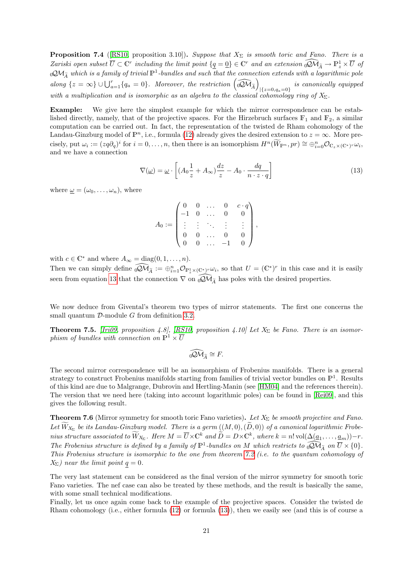**Proposition 7.4** ([\[RS10,](#page-22-4) proposition 3.10]). Suppose that  $X_{\Sigma}$  is smooth toric and Fano. There is a Zariski open subset  $\overline{U} \subset \mathbb{C}^r$  including the limit point  $\{q = 0\} \in \mathbb{C}^r$  and an extension  $\widehat{QM}_{\widetilde{A}} \to \mathbb{P}^1$   $\times \overline{U}$  of  $\partial_0 \mathcal{Q} \mathcal{M}_{\widetilde{A}}$  which is a family of trivial  $\mathbb{P}^1$ -bundles and such that the connection extends with a logarithmic pole along  $\{z = \infty\} \cup \bigcup_{a=1}^r \{q_a = 0\}$ . Moreover, the restriction  $\left(\widehat{\omega} \widehat{\mathcal{M}}_{\widetilde{A}}\right)$  $|{z=0, q_a=0}\rangle$  is canonically equipped with a multiplication and is isomorphic as an algebra to the classical cohomology ring of  $X_{\Sigma}$ .

Example: We give here the simplest example for which the mirror correspondence can be established directly, namely, that of the projective spaces. For the Hirzebruch surfaces  $\mathbb{F}_1$  and  $\mathbb{F}_2$ , a similar computation can be carried out. In fact, the representation of the twisted de Rham cohomology of the Landau-Ginzburg model of  $\mathbb{P}^n$ , i.e., formula [\(12\)](#page-15-2) already gives the desired extension to  $z = \infty$ . More precisely, put  $\omega_i := (z q \partial_q)^i$  for  $i = 0, \ldots, n$ , then there is an isomorphism  $H^n(\widetilde{W}_{\mathbb{P}^n}, pr) \cong \bigoplus_{i=0}^n \mathcal{O}_{\mathbb{C}_z \times (\mathbb{C}^*)^r} \omega_i$ , and we have a connection

<span id="page-20-0"></span>
$$
\nabla(\underline{\omega}) = \underline{\omega} \cdot \left[ (A_0 \frac{1}{z} + A_{\infty}) \frac{dz}{z} - A_0 \cdot \frac{dq}{n \cdot z \cdot q} \right]
$$
(13)

where  $\omega = (\omega_0, \ldots, \omega_n)$ , where

$$
A_0 := \begin{pmatrix} 0 & 0 & \dots & 0 & c \cdot q \\ -1 & 0 & \dots & 0 & 0 \\ \vdots & \vdots & \ddots & \vdots & \vdots \\ 0 & 0 & \dots & 0 & 0 \\ 0 & 0 & \dots & -1 & 0 \end{pmatrix},
$$

with  $c \in \mathbb{C}^*$  and where  $A_{\infty} = \text{diag}(0, 1, \dots, n)$ .

Then we can simply define  $\widehat{\omega} \widehat{\mathcal{M}}_{\widetilde{A}} := \bigoplus_{i=1}^n \mathcal{O}_{\mathbb{P}^1_z \times (\mathbb{C}^*)^r} \omega_i$ , so that  $U = (\mathbb{C}^*)^r$  in this case and it is easily seen from equation [13](#page-20-0) that the connection  $\nabla$  on  $\widehat{Q}\widetilde{\mathcal{M}}_{\widetilde{A}}$  has poles with the desired properties.

We now deduce from Givental's theorem two types of mirror statements. The first one concerns the small quantum  $\mathcal{D}$ -module G from definition [3.2.](#page-6-2)

<span id="page-20-1"></span>**Theorem 7.5.** [\[Iri09,](#page-22-5) proposition 4.8], [\[RS10,](#page-22-4) proposition 4.10] Let  $X_{\Sigma}$  be Fano. There is an isomorphism of bundles with connection on  $\mathbb{P}^1 \times \overline{U}$ 

$$
\widehat{\mathrm{QM}}_{\widetilde{A}}\cong F.
$$

The second mirror correspondence will be an isomorphism of Frobenius manifolds. There is a general strategy to construct Frobenius manifolds starting from families of trivial vector bundles on  $\mathbb{P}^1$ . Results of this kind are due to Malgrange, Dubrovin and Hertling-Manin (see [\[HM04\]](#page-22-18) and the references therein). The version that we need here (taking into account logarithmic poles) can be found in [\[Rei09\]](#page-22-17), and this gives the following result.

**Theorem 7.6** (Mirror symmetry for smooth toric Fano varieties). Let  $X_{\Sigma}$  be smooth projective and Fano. Let  $W_{X_{\Sigma}}$  be its Landau-Ginzburg model. There is a germ  $((M,0),(D,0))$  of a canonical logarithmic Frobenius structure associated to  $\widetilde{W}_{X_{\Sigma}}$ . Here  $M = \overline{U} \times \mathbb{C}^k$  and  $\widetilde{D} = D \times \mathbb{C}^k$ , where  $k = n! \operatorname{vol}(\Delta(\underline{a}_1, \ldots, \underline{a}_m)) - r$ . The Frobenius structure is defined by a family of  $\mathbb{P}^1$ -bundles on M which restricts to  $\widehat{\mathcal{QM}}_{\widetilde{A}}$  on  $\overline{U} \times \{0\}$ . This Frobenius structure is isomorphic to the one from theorem [7.2](#page-19-0) (i.e. to the quantum cohomology of  $X_{\Sigma}$ ) near the limit point  $q = 0$ .

The very last statement can be considered as the final version of the mirror symmetry for smooth toric Fano varieties. The nef case can also be treated by these methods, and the result is basically the same, with some small technical modifications.

Finally, let us once again come back to the example of the projective spaces. Consider the twisted de Rham cohomology (i.e., either formula [\(12\)](#page-15-2) or formula [\(13\)](#page-20-0)), then we easily see (and this is of course a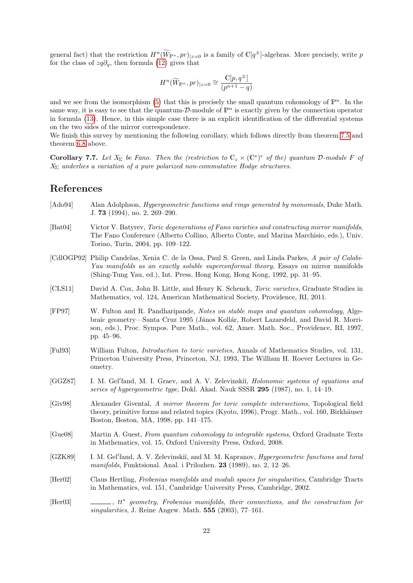general fact) that the restriction  $H^{n}(\widetilde{W}_{\mathbb{P}^n}, pr)_{|z=0}$  is a family of  $\mathbb{C}[q^{\pm}]$ -algebras. More precisely, write p for the class of  $zq\partial_q$ , then formula [\(12\)](#page-15-2) gives that

$$
H^n(\widetilde W_{\mathbb P^n},pr)_{|z=0}\cong \frac{\mathbb C[p,q^\pm]}{(p^{n+1}-q)}
$$

and we see from the isomorphism [\(5\)](#page-5-0) that this is precisely the small quantum cohomology of  $\mathbb{P}^n$ . In the same way, it is easy to see that the quantum-D-module of  $\mathbb{P}^n$  is exactly given by the connection operator in formula [\(13\)](#page-20-0). Hence, in this simple case there is an explicit identification of the differential systems on the two sides of the mirror correspondence.

We finish this survey by mentioning the following corollary, which follows directly from theorem [7.5](#page-20-1) and theorem [6.8](#page-18-2) above.

Corollary 7.7. Let  $X_{\Sigma}$  be Fano. Then the (restriction to  $\mathbb{C}_{z} \times (\mathbb{C}^{*})^{r}$  of the) quantum D-module F of  $X_{\Sigma}$  underlies a variation of a pure polarized non-commutative Hodge structures.

## References

- <span id="page-21-10"></span>[Ado94] Alan Adolphson, *Hypergeometric functions and rings generated by monomials*, Duke Math. J. 73 (1994), no. 2, 269–290.
- <span id="page-21-4"></span>[Bat04] Victor V. Batyrev, Toric degenerations of Fano varieties and constructing mirror manifolds, The Fano Conference (Alberto Collino, Alberto Conte, and Marina Marchisio, eds.), Univ. Torino, Turin, 2004, pp. 109–122.
- <span id="page-21-0"></span>[CdlOGP92] Philip Candelas, Xenia C. de la Ossa, Paul S. Green, and Linda Parkes, A pair of Calabi-Yau manifolds as an exactly soluble superconformal theory, Essays on mirror manifolds (Shing-Tung Yau, ed.), Int. Press, Hong Kong, Hong Kong, 1992, pp. 31–95.
- <span id="page-21-6"></span>[CLS11] David A. Cox, John B. Little, and Henry K. Schenck, Toric varieties, Graduate Studies in Mathematics, vol. 124, American Mathematical Society, Providence, RI, 2011.
- <span id="page-21-1"></span>[FP97] W. Fulton and R. Pandharipande, Notes on stable maps and quantum cohomology, Algebraic geometry—Santa Cruz 1995 (János Kollár, Robert Lazarsfeld, and David R. Morrison, eds.), Proc. Sympos. Pure Math., vol. 62, Amer. Math. Soc., Providence, RI, 1997, pp. 45–96.
- <span id="page-21-5"></span>[Ful93] William Fulton, Introduction to toric varieties, Annals of Mathematics Studies, vol. 131, Princeton University Press, Princeton, NJ, 1993, The William H. Roever Lectures in Geometry.
- <span id="page-21-8"></span>[GGZ87] I. M. Gel'fand, M. I. Graev, and A. V. Zelevinskii, *Holonomic systems of equations and* series of hypergeometric type, Dokl. Akad. Nauk SSSR 295 (1987), no. 1, 14–19.
- <span id="page-21-3"></span>[Giv98] Alexander Givental, A mirror theorem for toric complete intersections, Topological field theory, primitive forms and related topics (Kyoto, 1996), Progr. Math., vol. 160, Birkhäuser Boston, Boston, MA, 1998, pp. 141–175.
- <span id="page-21-2"></span>[Gue08] Martin A. Guest, From quantum cohomology to integrable systems, Oxford Graduate Texts in Mathematics, vol. 15, Oxford University Press, Oxford, 2008.
- <span id="page-21-9"></span>[GZK89] I. M. Gel'fand, A. V. Zelevinskiı̆, and M. M. Kapranov, *Hypergeometric functions and toral* manifolds, Funktsional. Anal. i Prilozhen. 23 (1989), no. 2, 12–26.
- <span id="page-21-11"></span>[Her02] Claus Hertling, Frobenius manifolds and moduli spaces for singularities, Cambridge Tracts in Mathematics, vol. 151, Cambridge University Press, Cambridge, 2002.

<span id="page-21-7"></span> $[Her03]$  $z_1$ ,  $tt^*$  geometry, Frobenius manifolds, their connections, and the construction for singularities, J. Reine Angew. Math. **555** (2003), 77-161.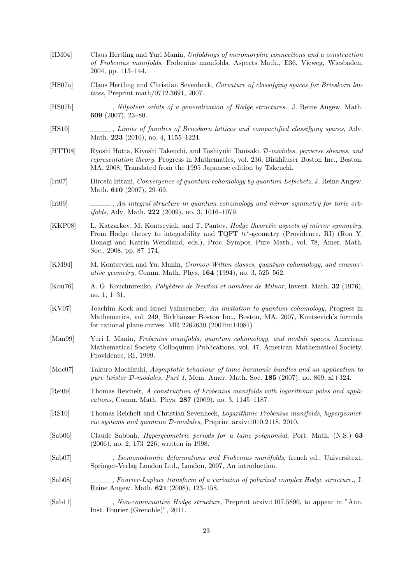<span id="page-22-18"></span><span id="page-22-17"></span><span id="page-22-16"></span><span id="page-22-15"></span><span id="page-22-14"></span><span id="page-22-13"></span><span id="page-22-12"></span><span id="page-22-11"></span><span id="page-22-10"></span><span id="page-22-9"></span><span id="page-22-8"></span><span id="page-22-7"></span><span id="page-22-6"></span><span id="page-22-5"></span><span id="page-22-4"></span><span id="page-22-3"></span><span id="page-22-2"></span><span id="page-22-1"></span><span id="page-22-0"></span>[HM04] Claus Hertling and Yuri Manin, Unfoldings of meromorphic connections and a construction of Frobenius manifolds, Frobenius manifolds, Aspects Math., E36, Vieweg, Wiesbaden, 2004, pp. 113–144. [HS07a] Claus Hertling and Christian Sevenheck, Curvature of classifying spaces for Brieskorn lattices, Preprint math/0712.3691, 2007. [HS07b] , Nilpotent orbits of a generalization of Hodge structures., J. Reine Angew. Math. 609 (2007), 23–80. [HS10] , Limits of families of Brieskorn lattices and compactified classifying spaces, Adv. Math. 223 (2010), no. 4, 1155–1224. [HTT08] Ryoshi Hotta, Kiyoshi Takeuchi, and Toshiyuki Tanisaki, D-modules, perverse sheaves, and representation theory, Progress in Mathematics, vol. 236, Birkhäuser Boston Inc., Boston, MA, 2008, Translated from the 1995 Japanese edition by Takeuchi. [Iri07] Hiroshi Iritani, Convergence of quantum cohomology by quantum Lefschetz, J. Reine Angew. Math. **610** (2007), 29–69. [Iri09] , An integral structure in quantum cohomology and mirror symmetry for toric orb*ifolds*, Adv. Math. **222** (2009), no. 3, 1016-1079. [KKP08] L. Katzarkov, M. Kontsevich, and T. Pantev, *Hodge theoretic aspects of mirror symmetry*, From Hodge theory to integrability and TQFT tt<sup>∗</sup> -geometry (Providence, RI) (Ron Y. Donagi and Katrin Wendland, eds.), Proc. Sympos. Pure Math., vol. 78, Amer. Math. Soc., 2008, pp. 87–174. [KM94] M. Kontsevich and Yu. Manin, *Gromov-Witten classes, quantum cohomology, and enumer*ative geometry, Comm. Math. Phys. **164** (1994), no. 3, 525–562. [Kou76] A. G. Kouchnirenko, Poly`edres de Newton et nombres de Milnor, Invent. Math. 32 (1976), no. 1, 1–31. [KV07] Joachim Kock and Israel Vainsencher, An invitation to quantum cohomology, Progress in Mathematics, vol. 249, Birkhäuser Boston Inc., Boston, MA, 2007, Kontsevich's formula for rational plane curves. MR 2262630 (2007m:14081) [Man99] Yuri I. Manin, Frobenius manifolds, quantum cohomology, and moduli spaces, American Mathematical Society Colloquium Publications, vol. 47, American Mathematical Society, Providence, RI, 1999. [Moc07] Takuro Mochizuki, Asymptotic behaviour of tame harmonic bundles and an application to pure twistor D-modules, Part 1, Mem. Amer. Math. Soc.  $185$  (2007), no. 869, xi+324. [Rei09] Thomas Reichelt, A construction of Frobenius manifolds with logarithmic poles and applications, Comm. Math. Phys. 287 (2009), no. 3, 1145–1187. [RS10] Thomas Reichelt and Christian Sevenheck, Logarithmic Frobenius manifolds, hypergeometric systems and quantum D-modules, Preprint arxiv:1010.2118, 2010. [Sab06] Claude Sabbah, Hypergeometric periods for a tame polynomial, Port. Math. (N.S.) 63 (2006), no. 2, 173–226, written in 1998. [Sab07] , Isomonodromic deformations and Frobenius manifolds, french ed., Universitext, Springer-Verlag London Ltd., London, 2007, An introduction. [Sab08] , Fourier-Laplace transform of a variation of polarized complex Hodge structure., J. Reine Angew. Math. 621 (2008), 123–158. [Sab11] , Non-commutative Hodge structure, Preprint arxiv:1107.5890, to appear in "Ann. Inst. Fourier (Grenoble)", 2011. 23